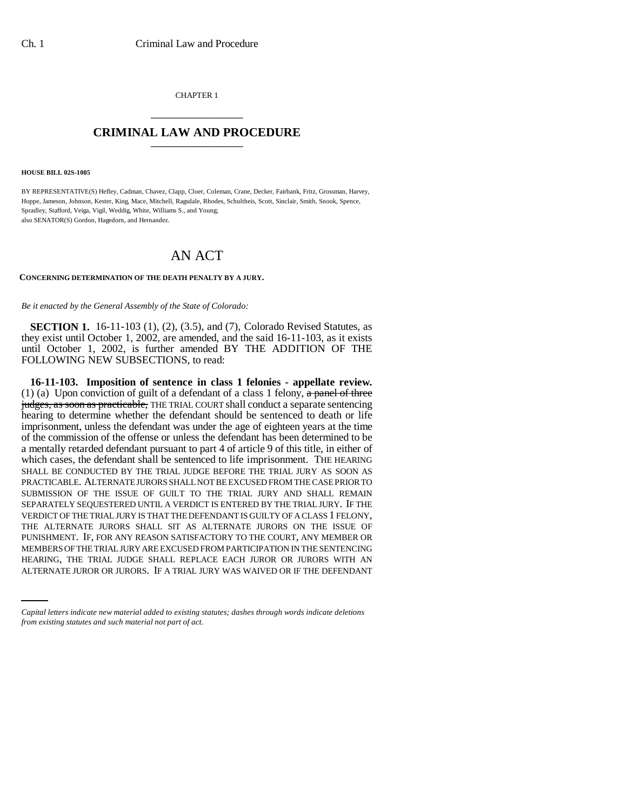CHAPTER 1 \_\_\_\_\_\_\_\_\_\_\_\_\_\_\_

## **CRIMINAL LAW AND PROCEDURE** \_\_\_\_\_\_\_\_\_\_\_\_\_\_\_

**HOUSE BILL 02S-1005**

BY REPRESENTATIVE(S) Hefley, Cadman, Chavez, Clapp, Cloer, Coleman, Crane, Decker, Fairbank, Fritz, Grossman, Harvey, Hoppe, Jameson, Johnson, Kester, King, Mace, Mitchell, Ragsdale, Rhodes, Schultheis, Scott, Sinclair, Smith, Snook, Spence, Spradley, Stafford, Veiga, Vigil, Weddig, White, Williams S., and Young; also SENATOR(S) Gordon, Hagedorn, and Hernandez.

# AN ACT

## **CONCERNING DETERMINATION OF THE DEATH PENALTY BY A JURY.**

*Be it enacted by the General Assembly of the State of Colorado:*

**SECTION 1.** 16-11-103 (1), (2), (3.5), and (7), Colorado Revised Statutes, as they exist until October 1, 2002, are amended, and the said 16-11-103, as it exists until October 1, 2002, is further amended BY THE ADDITION OF THE FOLLOWING NEW SUBSECTIONS, to read:

MEMBERS OF THE TRIAL JURY ARE EXCUSED FROM PARTICIPATION IN THE SENTENCING **16-11-103. Imposition of sentence in class 1 felonies - appellate review.** (1) (a) Upon conviction of guilt of a defendant of a class 1 felony, a panel of three judges, as soon as practicable, THE TRIAL COURT shall conduct a separate sentencing hearing to determine whether the defendant should be sentenced to death or life imprisonment, unless the defendant was under the age of eighteen years at the time of the commission of the offense or unless the defendant has been determined to be a mentally retarded defendant pursuant to part 4 of article 9 of this title, in either of which cases, the defendant shall be sentenced to life imprisonment. THE HEARING SHALL BE CONDUCTED BY THE TRIAL JUDGE BEFORE THE TRIAL JURY AS SOON AS PRACTICABLE. ALTERNATE JURORS SHALL NOT BE EXCUSED FROM THE CASE PRIOR TO SUBMISSION OF THE ISSUE OF GUILT TO THE TRIAL JURY AND SHALL REMAIN SEPARATELY SEQUESTERED UNTIL A VERDICT IS ENTERED BY THE TRIAL JURY. IF THE VERDICT OF THE TRIAL JURY IS THAT THE DEFENDANT IS GUILTY OF A CLASS 1 FELONY, THE ALTERNATE JURORS SHALL SIT AS ALTERNATE JURORS ON THE ISSUE OF PUNISHMENT. IF, FOR ANY REASON SATISFACTORY TO THE COURT, ANY MEMBER OR HEARING, THE TRIAL JUDGE SHALL REPLACE EACH JUROR OR JURORS WITH AN ALTERNATE JUROR OR JURORS. IF A TRIAL JURY WAS WAIVED OR IF THE DEFENDANT

*Capital letters indicate new material added to existing statutes; dashes through words indicate deletions from existing statutes and such material not part of act.*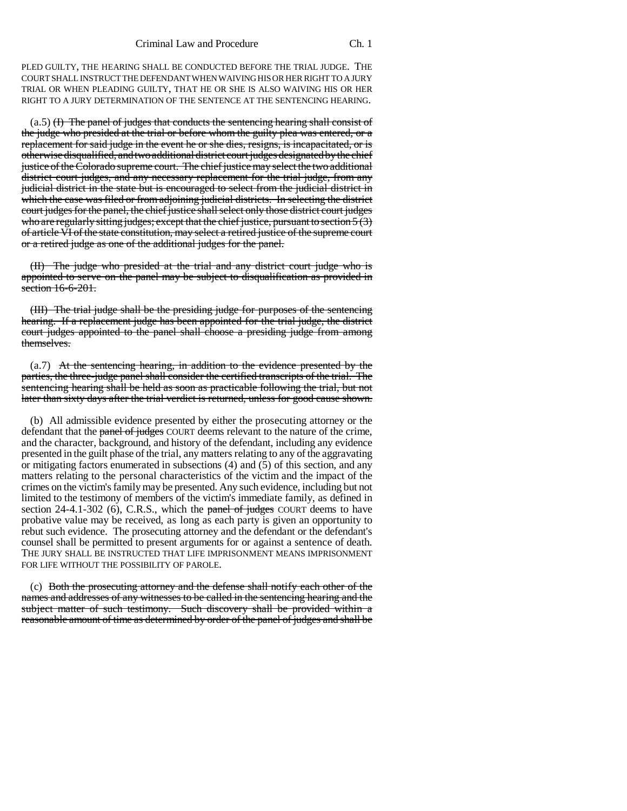PLED GUILTY, THE HEARING SHALL BE CONDUCTED BEFORE THE TRIAL JUDGE. THE COURT SHALL INSTRUCT THE DEFENDANT WHEN WAIVING HIS OR HER RIGHT TO A JURY TRIAL OR WHEN PLEADING GUILTY, THAT HE OR SHE IS ALSO WAIVING HIS OR HER RIGHT TO A JURY DETERMINATION OF THE SENTENCE AT THE SENTENCING HEARING.

 $(a.5)$  (I) The panel of judges that conducts the sentencing hearing shall consist of the judge who presided at the trial or before whom the guilty plea was entered, or a replacement for said judge in the event he or she dies, resigns, is incapacitated, or is otherwise disqualified, and two additional district court judges designated by the chief justice of the Colorado supreme court. The chief justice may select the two additional district court judges, and any necessary replacement for the trial judge, from any judicial district in the state but is encouraged to select from the judicial district in which the case was filed or from adjoining judicial districts. In selecting the district court judges for the panel, the chief justice shall select only those district court judges who are regularly sitting judges; except that the chief justice, pursuant to section  $5(3)$ of article VI of the state constitution, may select a retired justice of the supreme court or a retired judge as one of the additional judges for the panel.

(II) The judge who presided at the trial and any district court judge who is appointed to serve on the panel may be subject to disqualification as provided in section 16-6-201.

(III) The trial judge shall be the presiding judge for purposes of the sentencing hearing. If a replacement judge has been appointed for the trial judge, the district court judges appointed to the panel shall choose a presiding judge from among themselves.

(a.7) At the sentencing hearing, in addition to the evidence presented by the parties, the three-judge panel shall consider the certified transcripts of the trial. The sentencing hearing shall be held as soon as practicable following the trial, but not later than sixty days after the trial verdict is returned, unless for good cause shown.

(b) All admissible evidence presented by either the prosecuting attorney or the defendant that the panel of judges COURT deems relevant to the nature of the crime, and the character, background, and history of the defendant, including any evidence presented in the guilt phase of the trial, any matters relating to any of the aggravating or mitigating factors enumerated in subsections (4) and (5) of this section, and any matters relating to the personal characteristics of the victim and the impact of the crimes on the victim's family may be presented. Any such evidence, including but not limited to the testimony of members of the victim's immediate family, as defined in section  $24-4.1-302$  (6), C.R.S., which the panel of judges COURT deems to have probative value may be received, as long as each party is given an opportunity to rebut such evidence. The prosecuting attorney and the defendant or the defendant's counsel shall be permitted to present arguments for or against a sentence of death. THE JURY SHALL BE INSTRUCTED THAT LIFE IMPRISONMENT MEANS IMPRISONMENT FOR LIFE WITHOUT THE POSSIBILITY OF PAROLE.

(c) Both the prosecuting attorney and the defense shall notify each other of the names and addresses of any witnesses to be called in the sentencing hearing and the subject matter of such testimony. Such discovery shall be provided within a reasonable amount of time as determined by order of the panel of judges and shall be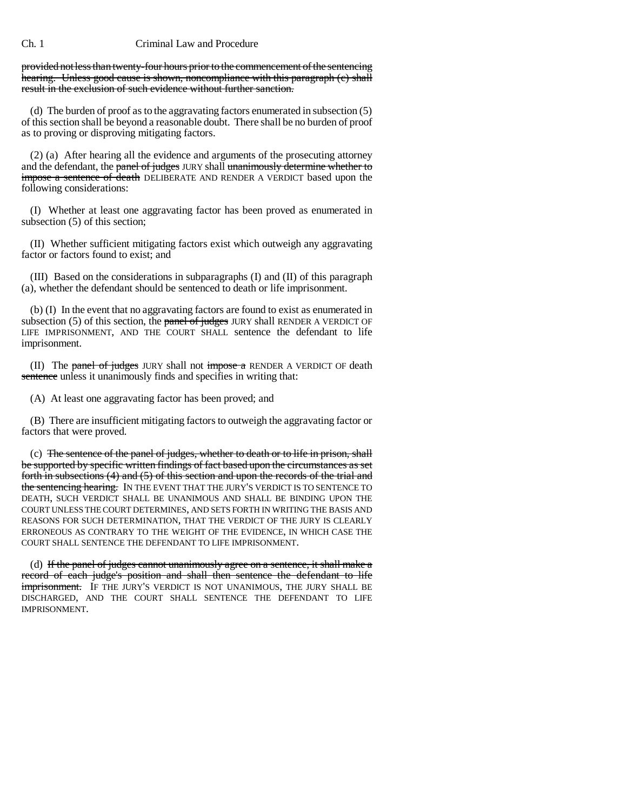provided not less than twenty-four hours prior to the commencement of the sentencing hearing. Unless good cause is shown, noncompliance with this paragraph (c) shall result in the exclusion of such evidence without further sanction.

(d) The burden of proof as to the aggravating factors enumerated in subsection (5) of this section shall be beyond a reasonable doubt. There shall be no burden of proof as to proving or disproving mitigating factors.

(2) (a) After hearing all the evidence and arguments of the prosecuting attorney and the defendant, the panel of judges JURY shall unanimously determine whether to impose a sentence of death DELIBERATE AND RENDER A VERDICT based upon the following considerations:

(I) Whether at least one aggravating factor has been proved as enumerated in subsection (5) of this section;

(II) Whether sufficient mitigating factors exist which outweigh any aggravating factor or factors found to exist; and

(III) Based on the considerations in subparagraphs (I) and (II) of this paragraph (a), whether the defendant should be sentenced to death or life imprisonment.

(b) (I) In the event that no aggravating factors are found to exist as enumerated in subsection  $(5)$  of this section, the panel of judges JURY shall RENDER A VERDICT OF LIFE IMPRISONMENT, AND THE COURT SHALL sentence the defendant to life imprisonment.

(II) The panel of judges JURY shall not impose a RENDER A VERDICT OF death sentence unless it unanimously finds and specifies in writing that:

(A) At least one aggravating factor has been proved; and

(B) There are insufficient mitigating factors to outweigh the aggravating factor or factors that were proved.

(c) The sentence of the panel of judges, whether to death or to life in prison, shall be supported by specific written findings of fact based upon the circumstances as set forth in subsections (4) and (5) of this section and upon the records of the trial and the sentencing hearing. IN THE EVENT THAT THE JURY'S VERDICT IS TO SENTENCE TO DEATH, SUCH VERDICT SHALL BE UNANIMOUS AND SHALL BE BINDING UPON THE COURT UNLESS THE COURT DETERMINES, AND SETS FORTH IN WRITING THE BASIS AND REASONS FOR SUCH DETERMINATION, THAT THE VERDICT OF THE JURY IS CLEARLY ERRONEOUS AS CONTRARY TO THE WEIGHT OF THE EVIDENCE, IN WHICH CASE THE COURT SHALL SENTENCE THE DEFENDANT TO LIFE IMPRISONMENT.

(d) If the panel of judges cannot unanimously agree on a sentence, it shall make a record of each judge's position and shall then sentence the defendant to life imprisonment. IF THE JURY'S VERDICT IS NOT UNANIMOUS, THE JURY SHALL BE DISCHARGED, AND THE COURT SHALL SENTENCE THE DEFENDANT TO LIFE IMPRISONMENT.

Ch. 1 Criminal Law and Procedure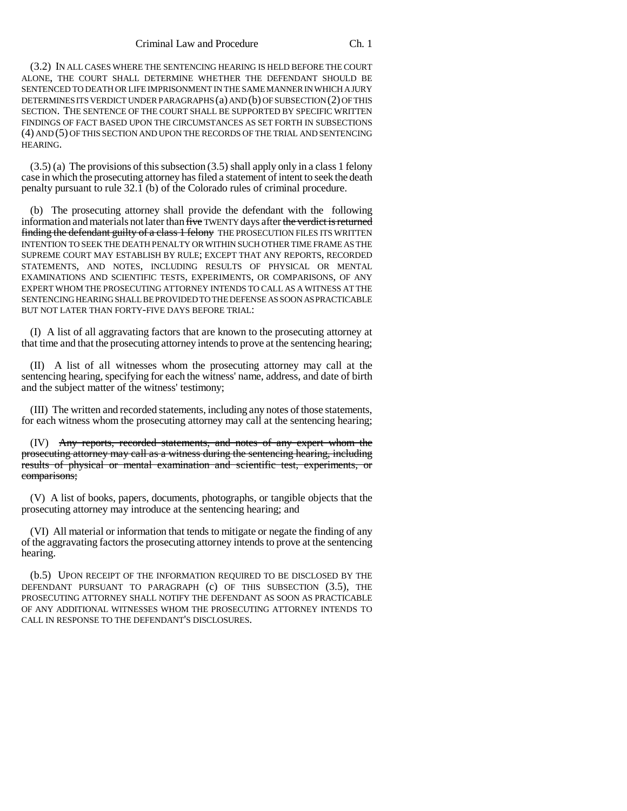#### Criminal Law and Procedure Ch. 1

(3.2) IN ALL CASES WHERE THE SENTENCING HEARING IS HELD BEFORE THE COURT ALONE, THE COURT SHALL DETERMINE WHETHER THE DEFENDANT SHOULD BE SENTENCED TO DEATH OR LIFE IMPRISONMENT IN THE SAME MANNER IN WHICH A JURY DETERMINES ITS VERDICT UNDER PARAGRAPHS (a) AND (b) OF SUBSECTION (2) OF THIS SECTION. THE SENTENCE OF THE COURT SHALL BE SUPPORTED BY SPECIFIC WRITTEN FINDINGS OF FACT BASED UPON THE CIRCUMSTANCES AS SET FORTH IN SUBSECTIONS (4) AND (5) OF THIS SECTION AND UPON THE RECORDS OF THE TRIAL AND SENTENCING HEARING.

 $(3.5)$  (a) The provisions of this subsection  $(3.5)$  shall apply only in a class 1 felony case in which the prosecuting attorney has filed a statement of intent to seek the death penalty pursuant to rule 32.1 (b) of the Colorado rules of criminal procedure.

(b) The prosecuting attorney shall provide the defendant with the following information and materials not later than five TWENTY days after the verdict is returned finding the defendant guilty of a class 1 felony THE PROSECUTION FILES ITS WRITTEN INTENTION TO SEEK THE DEATH PENALTY OR WITHIN SUCH OTHER TIME FRAME AS THE SUPREME COURT MAY ESTABLISH BY RULE; EXCEPT THAT ANY REPORTS, RECORDED STATEMENTS, AND NOTES, INCLUDING RESULTS OF PHYSICAL OR MENTAL EXAMINATIONS AND SCIENTIFIC TESTS, EXPERIMENTS, OR COMPARISONS, OF ANY EXPERT WHOM THE PROSECUTING ATTORNEY INTENDS TO CALL AS A WITNESS AT THE SENTENCING HEARING SHALL BE PROVIDED TO THE DEFENSE AS SOON AS PRACTICABLE BUT NOT LATER THAN FORTY-FIVE DAYS BEFORE TRIAL:

(I) A list of all aggravating factors that are known to the prosecuting attorney at that time and that the prosecuting attorney intends to prove at the sentencing hearing;

(II) A list of all witnesses whom the prosecuting attorney may call at the sentencing hearing, specifying for each the witness' name, address, and date of birth and the subject matter of the witness' testimony;

(III) The written and recorded statements, including any notes of those statements, for each witness whom the prosecuting attorney may call at the sentencing hearing;

(IV) Any reports, recorded statements, and notes of any expert whom the prosecuting attorney may call as a witness during the sentencing hearing, including results of physical or mental examination and scientific test, experiments, or comparisons;

(V) A list of books, papers, documents, photographs, or tangible objects that the prosecuting attorney may introduce at the sentencing hearing; and

(VI) All material or information that tends to mitigate or negate the finding of any of the aggravating factors the prosecuting attorney intends to prove at the sentencing hearing.

(b.5) UPON RECEIPT OF THE INFORMATION REQUIRED TO BE DISCLOSED BY THE DEFENDANT PURSUANT TO PARAGRAPH (c) OF THIS SUBSECTION (3.5), THE PROSECUTING ATTORNEY SHALL NOTIFY THE DEFENDANT AS SOON AS PRACTICABLE OF ANY ADDITIONAL WITNESSES WHOM THE PROSECUTING ATTORNEY INTENDS TO CALL IN RESPONSE TO THE DEFENDANT'S DISCLOSURES.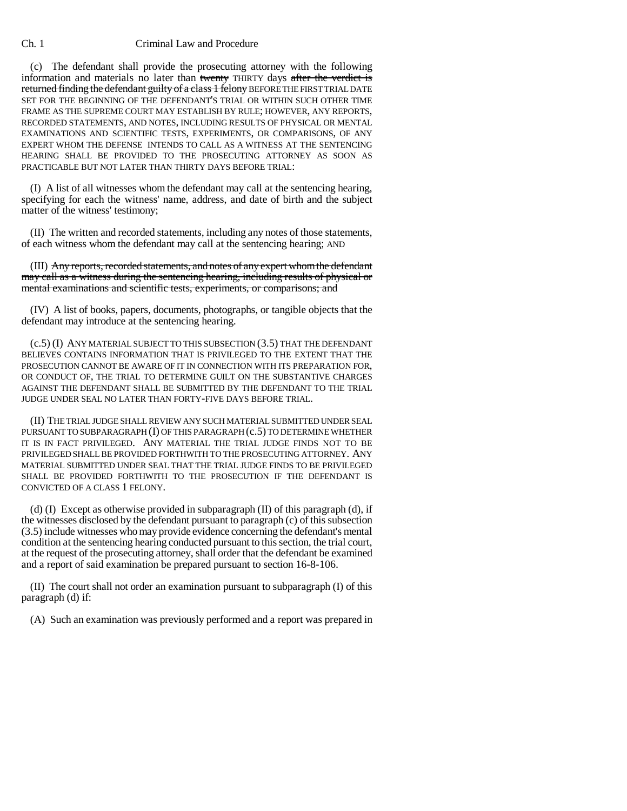(c) The defendant shall provide the prosecuting attorney with the following information and materials no later than twenty THIRTY days after the verdict is returned finding the defendant guilty of a class 1 felony BEFORE THE FIRST TRIAL DATE SET FOR THE BEGINNING OF THE DEFENDANT'S TRIAL OR WITHIN SUCH OTHER TIME FRAME AS THE SUPREME COURT MAY ESTABLISH BY RULE; HOWEVER, ANY REPORTS, RECORDED STATEMENTS, AND NOTES, INCLUDING RESULTS OF PHYSICAL OR MENTAL EXAMINATIONS AND SCIENTIFIC TESTS, EXPERIMENTS, OR COMPARISONS, OF ANY EXPERT WHOM THE DEFENSE INTENDS TO CALL AS A WITNESS AT THE SENTENCING HEARING SHALL BE PROVIDED TO THE PROSECUTING ATTORNEY AS SOON AS PRACTICABLE BUT NOT LATER THAN THIRTY DAYS BEFORE TRIAL:

(I) A list of all witnesses whom the defendant may call at the sentencing hearing, specifying for each the witness' name, address, and date of birth and the subject matter of the witness' testimony;

(II) The written and recorded statements, including any notes of those statements, of each witness whom the defendant may call at the sentencing hearing; AND

(III) Any reports, recorded statements, and notes of any expert whom the defendant may call as a witness during the sentencing hearing, including results of physical or mental examinations and scientific tests, experiments, or comparisons; and

(IV) A list of books, papers, documents, photographs, or tangible objects that the defendant may introduce at the sentencing hearing.

(c.5) (I) ANY MATERIAL SUBJECT TO THIS SUBSECTION (3.5) THAT THE DEFENDANT BELIEVES CONTAINS INFORMATION THAT IS PRIVILEGED TO THE EXTENT THAT THE PROSECUTION CANNOT BE AWARE OF IT IN CONNECTION WITH ITS PREPARATION FOR, OR CONDUCT OF, THE TRIAL TO DETERMINE GUILT ON THE SUBSTANTIVE CHARGES AGAINST THE DEFENDANT SHALL BE SUBMITTED BY THE DEFENDANT TO THE TRIAL JUDGE UNDER SEAL NO LATER THAN FORTY-FIVE DAYS BEFORE TRIAL.

(II) THE TRIAL JUDGE SHALL REVIEW ANY SUCH MATERIAL SUBMITTED UNDER SEAL PURSUANT TO SUBPARAGRAPH (I) OF THIS PARAGRAPH (c.5) TO DETERMINE WHETHER IT IS IN FACT PRIVILEGED. ANY MATERIAL THE TRIAL JUDGE FINDS NOT TO BE PRIVILEGED SHALL BE PROVIDED FORTHWITH TO THE PROSECUTING ATTORNEY. ANY MATERIAL SUBMITTED UNDER SEAL THAT THE TRIAL JUDGE FINDS TO BE PRIVILEGED SHALL BE PROVIDED FORTHWITH TO THE PROSECUTION IF THE DEFENDANT IS CONVICTED OF A CLASS 1 FELONY.

(d) (I) Except as otherwise provided in subparagraph  $(II)$  of this paragraph (d), if the witnesses disclosed by the defendant pursuant to paragraph (c) of this subsection (3.5) include witnesses who may provide evidence concerning the defendant's mental condition at the sentencing hearing conducted pursuant to this section, the trial court, at the request of the prosecuting attorney, shall order that the defendant be examined and a report of said examination be prepared pursuant to section 16-8-106.

(II) The court shall not order an examination pursuant to subparagraph (I) of this paragraph (d) if:

(A) Such an examination was previously performed and a report was prepared in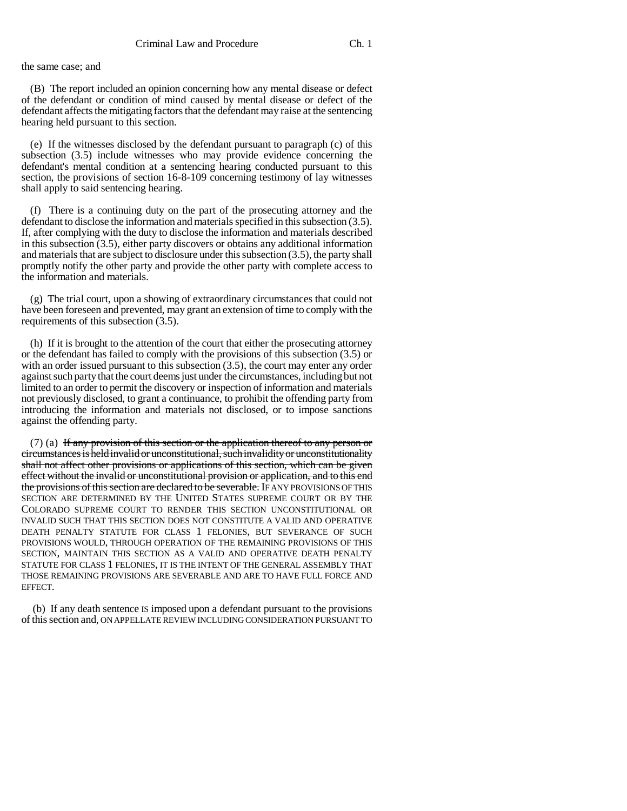the same case; and

(B) The report included an opinion concerning how any mental disease or defect of the defendant or condition of mind caused by mental disease or defect of the defendant affects the mitigating factors that the defendant may raise at the sentencing hearing held pursuant to this section.

(e) If the witnesses disclosed by the defendant pursuant to paragraph (c) of this subsection (3.5) include witnesses who may provide evidence concerning the defendant's mental condition at a sentencing hearing conducted pursuant to this section, the provisions of section 16-8-109 concerning testimony of lay witnesses shall apply to said sentencing hearing.

(f) There is a continuing duty on the part of the prosecuting attorney and the defendant to disclose the information and materials specified in this subsection (3.5). If, after complying with the duty to disclose the information and materials described in this subsection (3.5), either party discovers or obtains any additional information and materials that are subject to disclosure under this subsection (3.5), the party shall promptly notify the other party and provide the other party with complete access to the information and materials.

(g) The trial court, upon a showing of extraordinary circumstances that could not have been foreseen and prevented, may grant an extension of time to comply with the requirements of this subsection (3.5).

(h) If it is brought to the attention of the court that either the prosecuting attorney or the defendant has failed to comply with the provisions of this subsection (3.5) or with an order issued pursuant to this subsection (3.5), the court may enter any order against such party that the court deems just under the circumstances, including but not limited to an order to permit the discovery or inspection of information and materials not previously disclosed, to grant a continuance, to prohibit the offending party from introducing the information and materials not disclosed, or to impose sanctions against the offending party.

(7) (a) If any provision of this section or the application thereof to any person or circumstances is held invalid or unconstitutional, such invalidity or unconstitutionality shall not affect other provisions or applications of this section, which can be given effect without the invalid or unconstitutional provision or application, and to this end the provisions of this section are declared to be severable. If ANY PROVISIONS OF THIS SECTION ARE DETERMINED BY THE UNITED STATES SUPREME COURT OR BY THE COLORADO SUPREME COURT TO RENDER THIS SECTION UNCONSTITUTIONAL OR INVALID SUCH THAT THIS SECTION DOES NOT CONSTITUTE A VALID AND OPERATIVE DEATH PENALTY STATUTE FOR CLASS 1 FELONIES, BUT SEVERANCE OF SUCH PROVISIONS WOULD, THROUGH OPERATION OF THE REMAINING PROVISIONS OF THIS SECTION, MAINTAIN THIS SECTION AS A VALID AND OPERATIVE DEATH PENALTY STATUTE FOR CLASS 1 FELONIES, IT IS THE INTENT OF THE GENERAL ASSEMBLY THAT THOSE REMAINING PROVISIONS ARE SEVERABLE AND ARE TO HAVE FULL FORCE AND EFFECT.

 (b) If any death sentence IS imposed upon a defendant pursuant to the provisions of this section and, ON APPELLATE REVIEW INCLUDING CONSIDERATION PURSUANT TO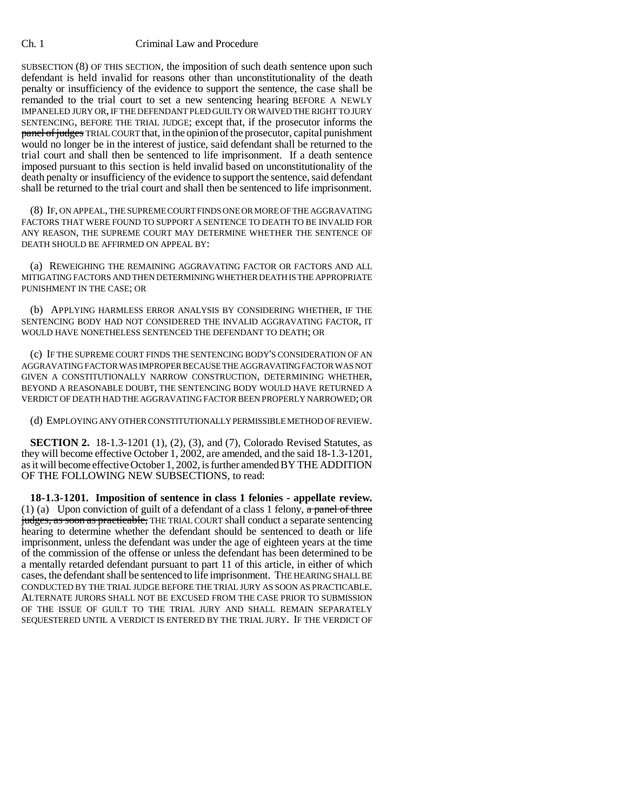SUBSECTION (8) OF THIS SECTION, the imposition of such death sentence upon such defendant is held invalid for reasons other than unconstitutionality of the death penalty or insufficiency of the evidence to support the sentence, the case shall be remanded to the trial court to set a new sentencing hearing BEFORE A NEWLY IMPANELED JURY OR, IF THE DEFENDANT PLED GUILTY OR WAIVED THE RIGHT TO JURY SENTENCING, BEFORE THE TRIAL JUDGE; except that, if the prosecutor informs the panel of judges TRIAL COURT that, in the opinion of the prosecutor, capital punishment would no longer be in the interest of justice, said defendant shall be returned to the trial court and shall then be sentenced to life imprisonment. If a death sentence imposed pursuant to this section is held invalid based on unconstitutionality of the death penalty or insufficiency of the evidence to support the sentence, said defendant shall be returned to the trial court and shall then be sentenced to life imprisonment.

(8) IF, ON APPEAL, THE SUPREME COURT FINDS ONE OR MORE OF THE AGGRAVATING FACTORS THAT WERE FOUND TO SUPPORT A SENTENCE TO DEATH TO BE INVALID FOR ANY REASON, THE SUPREME COURT MAY DETERMINE WHETHER THE SENTENCE OF DEATH SHOULD BE AFFIRMED ON APPEAL BY:

(a) REWEIGHING THE REMAINING AGGRAVATING FACTOR OR FACTORS AND ALL MITIGATING FACTORS AND THEN DETERMINING WHETHER DEATH IS THE APPROPRIATE PUNISHMENT IN THE CASE; OR

(b) APPLYING HARMLESS ERROR ANALYSIS BY CONSIDERING WHETHER, IF THE SENTENCING BODY HAD NOT CONSIDERED THE INVALID AGGRAVATING FACTOR, IT WOULD HAVE NONETHELESS SENTENCED THE DEFENDANT TO DEATH; OR

(c) IF THE SUPREME COURT FINDS THE SENTENCING BODY'S CONSIDERATION OF AN AGGRAVATING FACTOR WAS IMPROPER BECAUSE THE AGGRAVATING FACTOR WAS NOT GIVEN A CONSTITUTIONALLY NARROW CONSTRUCTION, DETERMINING WHETHER, BEYOND A REASONABLE DOUBT, THE SENTENCING BODY WOULD HAVE RETURNED A VERDICT OF DEATH HAD THE AGGRAVATING FACTOR BEEN PROPERLY NARROWED; OR

(d) EMPLOYING ANY OTHER CONSTITUTIONALLY PERMISSIBLE METHOD OF REVIEW.

**SECTION 2.** 18-1.3-1201 (1), (2), (3), and (7), Colorado Revised Statutes, as they will become effective October 1, 2002, are amended, and the said 18-1.3-1201, as it will become effective October 1, 2002, is further amended BY THE ADDITION OF THE FOLLOWING NEW SUBSECTIONS, to read:

**18-1.3-1201. Imposition of sentence in class 1 felonies - appellate review.** (1) (a) Upon conviction of guilt of a defendant of a class 1 felony,  $\alpha$  panel of three judges, as soon as practicable, THE TRIAL COURT shall conduct a separate sentencing hearing to determine whether the defendant should be sentenced to death or life imprisonment, unless the defendant was under the age of eighteen years at the time of the commission of the offense or unless the defendant has been determined to be a mentally retarded defendant pursuant to part 11 of this article, in either of which cases, the defendant shall be sentenced to life imprisonment. THE HEARING SHALL BE CONDUCTED BY THE TRIAL JUDGE BEFORE THE TRIAL JURY AS SOON AS PRACTICABLE. ALTERNATE JURORS SHALL NOT BE EXCUSED FROM THE CASE PRIOR TO SUBMISSION OF THE ISSUE OF GUILT TO THE TRIAL JURY AND SHALL REMAIN SEPARATELY SEQUESTERED UNTIL A VERDICT IS ENTERED BY THE TRIAL JURY. IF THE VERDICT OF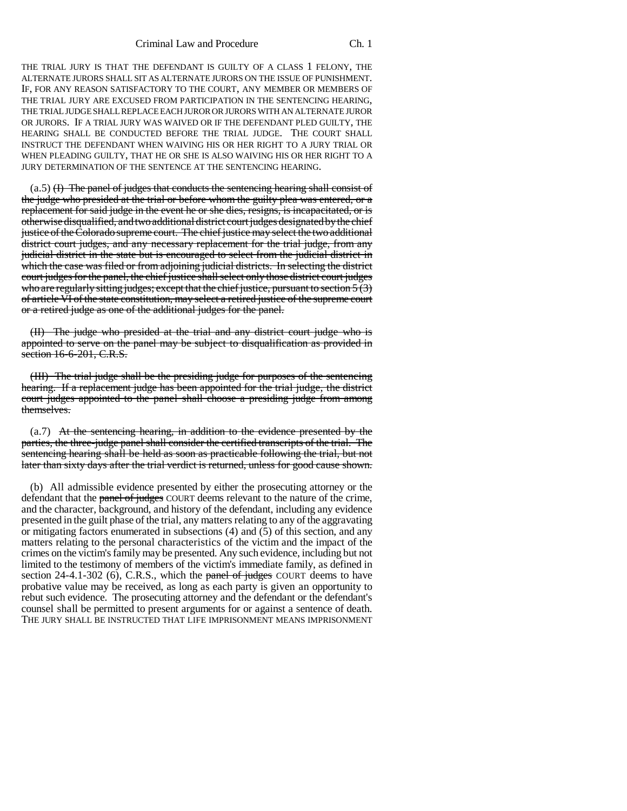#### Criminal Law and Procedure Ch. 1

THE TRIAL JURY IS THAT THE DEFENDANT IS GUILTY OF A CLASS 1 FELONY, THE ALTERNATE JURORS SHALL SIT AS ALTERNATE JURORS ON THE ISSUE OF PUNISHMENT. IF, FOR ANY REASON SATISFACTORY TO THE COURT, ANY MEMBER OR MEMBERS OF THE TRIAL JURY ARE EXCUSED FROM PARTICIPATION IN THE SENTENCING HEARING, THE TRIAL JUDGE SHALL REPLACE EACH JUROR OR JURORS WITH AN ALTERNATE JUROR OR JURORS. IF A TRIAL JURY WAS WAIVED OR IF THE DEFENDANT PLED GUILTY, THE HEARING SHALL BE CONDUCTED BEFORE THE TRIAL JUDGE. THE COURT SHALL INSTRUCT THE DEFENDANT WHEN WAIVING HIS OR HER RIGHT TO A JURY TRIAL OR WHEN PLEADING GUILTY, THAT HE OR SHE IS ALSO WAIVING HIS OR HER RIGHT TO A JURY DETERMINATION OF THE SENTENCE AT THE SENTENCING HEARING.

 $(a.5)$  (H) The panel of judges that conducts the sentencing hearing shall consist of the judge who presided at the trial or before whom the guilty plea was entered, or a replacement for said judge in the event he or she dies, resigns, is incapacitated, or is otherwise disqualified, and two additional district court judges designated by the chief justice of the Colorado supreme court. The chief justice may select the two additional district court judges, and any necessary replacement for the trial judge, from any judicial district in the state but is encouraged to select from the judicial district in which the case was filed or from adjoining judicial districts. In selecting the district court judges for the panel, the chief justice shall select only those district court judges who are regularly sitting judges; except that the chief justice, pursuant to section  $5(3)$ of article VI of the state constitution, may select a retired justice of the supreme court or a retired judge as one of the additional judges for the panel.

(II) The judge who presided at the trial and any district court judge who is appointed to serve on the panel may be subject to disqualification as provided in section 16-6-201, C.R.S.

(III) The trial judge shall be the presiding judge for purposes of the sentencing hearing. If a replacement judge has been appointed for the trial judge, the district court judges appointed to the panel shall choose a presiding judge from among themselves.

(a.7) At the sentencing hearing, in addition to the evidence presented by the parties, the three-judge panel shall consider the certified transcripts of the trial. The sentencing hearing shall be held as soon as practicable following the trial, but not later than sixty days after the trial verdict is returned, unless for good cause shown.

(b) All admissible evidence presented by either the prosecuting attorney or the defendant that the panel of judges COURT deems relevant to the nature of the crime, and the character, background, and history of the defendant, including any evidence presented in the guilt phase of the trial, any matters relating to any of the aggravating or mitigating factors enumerated in subsections (4) and (5) of this section, and any matters relating to the personal characteristics of the victim and the impact of the crimes on the victim's family may be presented. Any such evidence, including but not limited to the testimony of members of the victim's immediate family, as defined in section  $24-4.1-302$  (6), C.R.S., which the panel of judges COURT deems to have probative value may be received, as long as each party is given an opportunity to rebut such evidence. The prosecuting attorney and the defendant or the defendant's counsel shall be permitted to present arguments for or against a sentence of death. THE JURY SHALL BE INSTRUCTED THAT LIFE IMPRISONMENT MEANS IMPRISONMENT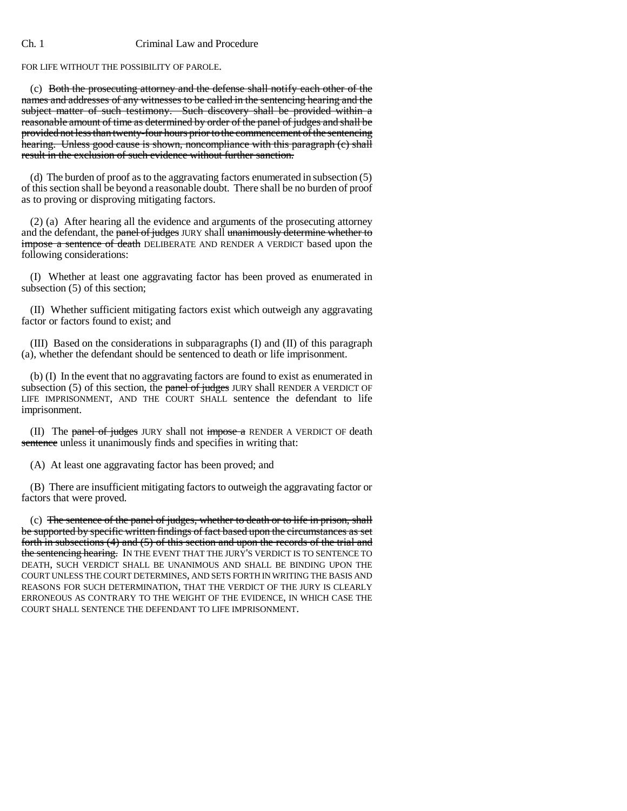FOR LIFE WITHOUT THE POSSIBILITY OF PAROLE.

(c) Both the prosecuting attorney and the defense shall notify each other of the names and addresses of any witnesses to be called in the sentencing hearing and the subject matter of such testimony. Such discovery shall be provided within a reasonable amount of time as determined by order of the panel of judges and shall be provided not less than twenty-four hours prior to the commencement of the sentencing hearing. Unless good cause is shown, noncompliance with this paragraph (c) shall result in the exclusion of such evidence without further sanction.

(d) The burden of proof as to the aggravating factors enumerated in subsection (5) of this section shall be beyond a reasonable doubt. There shall be no burden of proof as to proving or disproving mitigating factors.

(2) (a) After hearing all the evidence and arguments of the prosecuting attorney and the defendant, the panel of judges JURY shall unanimously determine whether to impose a sentence of death DELIBERATE AND RENDER A VERDICT based upon the following considerations:

(I) Whether at least one aggravating factor has been proved as enumerated in subsection (5) of this section;

(II) Whether sufficient mitigating factors exist which outweigh any aggravating factor or factors found to exist; and

(III) Based on the considerations in subparagraphs (I) and (II) of this paragraph (a), whether the defendant should be sentenced to death or life imprisonment.

(b) (I) In the event that no aggravating factors are found to exist as enumerated in subsection  $(5)$  of this section, the panel of judges JURY shall RENDER A VERDICT OF LIFE IMPRISONMENT, AND THE COURT SHALL sentence the defendant to life imprisonment.

(II) The panel of judges JURY shall not impose a RENDER A VERDICT OF death sentence unless it unanimously finds and specifies in writing that:

(A) At least one aggravating factor has been proved; and

(B) There are insufficient mitigating factors to outweigh the aggravating factor or factors that were proved.

(c) The sentence of the panel of judges, whether to death or to life in prison, shall be supported by specific written findings of fact based upon the circumstances as set forth in subsections (4) and (5) of this section and upon the records of the trial and the sentencing hearing. IN THE EVENT THAT THE JURY'S VERDICT IS TO SENTENCE TO DEATH, SUCH VERDICT SHALL BE UNANIMOUS AND SHALL BE BINDING UPON THE COURT UNLESS THE COURT DETERMINES, AND SETS FORTH IN WRITING THE BASIS AND REASONS FOR SUCH DETERMINATION, THAT THE VERDICT OF THE JURY IS CLEARLY ERRONEOUS AS CONTRARY TO THE WEIGHT OF THE EVIDENCE, IN WHICH CASE THE COURT SHALL SENTENCE THE DEFENDANT TO LIFE IMPRISONMENT.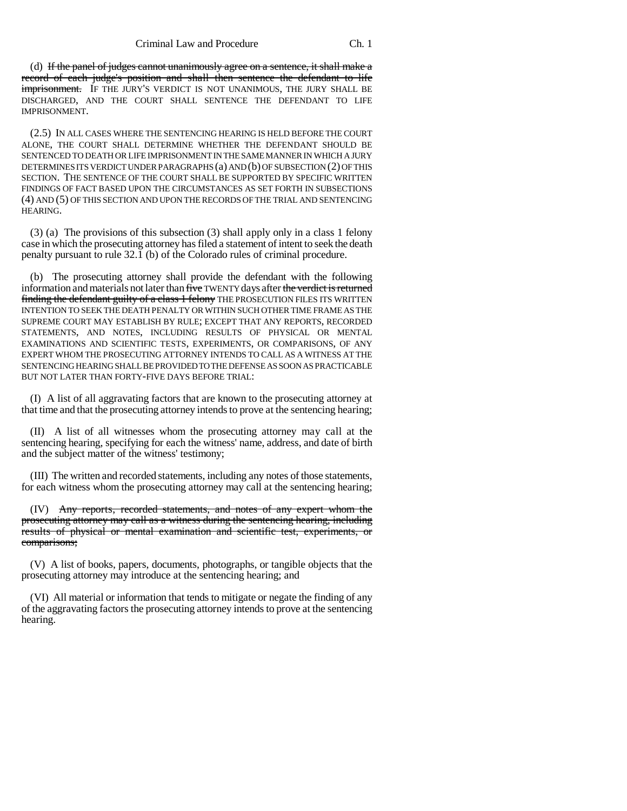(d) If the panel of judges cannot unanimously agree on a sentence, it shall make a record of each judge's position and shall then sentence the defendant to life imprisonment. IF THE JURY'S VERDICT IS NOT UNANIMOUS, THE JURY SHALL BE DISCHARGED, AND THE COURT SHALL SENTENCE THE DEFENDANT TO LIFE IMPRISONMENT.

(2.5) IN ALL CASES WHERE THE SENTENCING HEARING IS HELD BEFORE THE COURT ALONE, THE COURT SHALL DETERMINE WHETHER THE DEFENDANT SHOULD BE SENTENCED TO DEATH OR LIFE IMPRISONMENT IN THE SAME MANNER IN WHICH A JURY DETERMINES ITS VERDICT UNDER PARAGRAPHS (a) AND (b) OF SUBSECTION (2) OF THIS SECTION. THE SENTENCE OF THE COURT SHALL BE SUPPORTED BY SPECIFIC WRITTEN FINDINGS OF FACT BASED UPON THE CIRCUMSTANCES AS SET FORTH IN SUBSECTIONS (4) AND (5) OF THIS SECTION AND UPON THE RECORDS OF THE TRIAL AND SENTENCING HEARING.

(3) (a) The provisions of this subsection (3) shall apply only in a class 1 felony case in which the prosecuting attorney has filed a statement of intent to seek the death penalty pursuant to rule 32.1 (b) of the Colorado rules of criminal procedure.

(b) The prosecuting attorney shall provide the defendant with the following information and materials not later than five TWENTY days after the verdict is returned finding the defendant guilty of a class 1 felony THE PROSECUTION FILES ITS WRITTEN INTENTION TO SEEK THE DEATH PENALTY OR WITHIN SUCH OTHER TIME FRAME AS THE SUPREME COURT MAY ESTABLISH BY RULE; EXCEPT THAT ANY REPORTS, RECORDED STATEMENTS, AND NOTES, INCLUDING RESULTS OF PHYSICAL OR MENTAL EXAMINATIONS AND SCIENTIFIC TESTS, EXPERIMENTS, OR COMPARISONS, OF ANY EXPERT WHOM THE PROSECUTING ATTORNEY INTENDS TO CALL AS A WITNESS AT THE SENTENCING HEARING SHALL BE PROVIDED TO THE DEFENSE AS SOON AS PRACTICABLE BUT NOT LATER THAN FORTY-FIVE DAYS BEFORE TRIAL:

(I) A list of all aggravating factors that are known to the prosecuting attorney at that time and that the prosecuting attorney intends to prove at the sentencing hearing;

(II) A list of all witnesses whom the prosecuting attorney may call at the sentencing hearing, specifying for each the witness' name, address, and date of birth and the subject matter of the witness' testimony;

(III) The written and recorded statements, including any notes of those statements, for each witness whom the prosecuting attorney may call at the sentencing hearing;

(IV) Any reports, recorded statements, and notes of any expert whom the prosecuting attorney may call as a witness during the sentencing hearing, including results of physical or mental examination and scientific test, experiments, or comparisons;

(V) A list of books, papers, documents, photographs, or tangible objects that the prosecuting attorney may introduce at the sentencing hearing; and

(VI) All material or information that tends to mitigate or negate the finding of any of the aggravating factors the prosecuting attorney intends to prove at the sentencing hearing.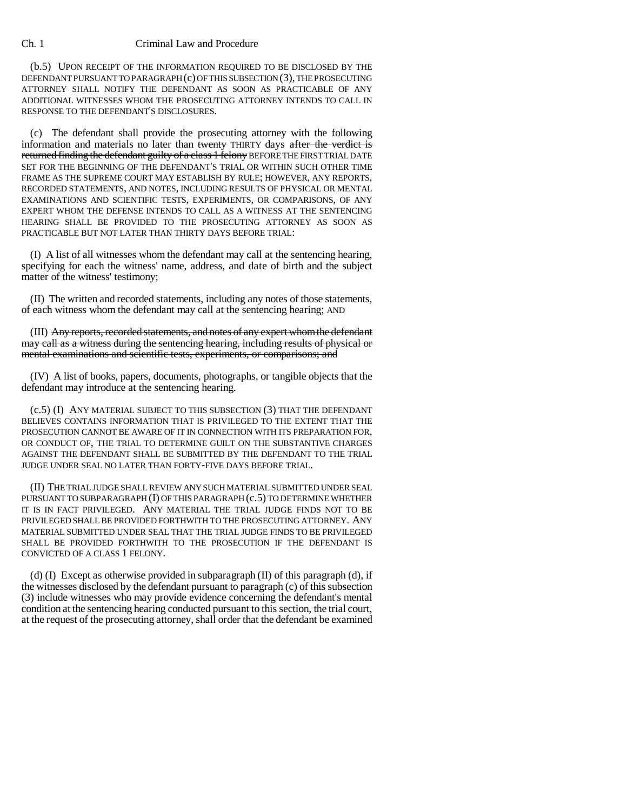(b.5) UPON RECEIPT OF THE INFORMATION REQUIRED TO BE DISCLOSED BY THE DEFENDANT PURSUANT TO PARAGRAPH (c) OF THIS SUBSECTION (3), THE PROSECUTING ATTORNEY SHALL NOTIFY THE DEFENDANT AS SOON AS PRACTICABLE OF ANY ADDITIONAL WITNESSES WHOM THE PROSECUTING ATTORNEY INTENDS TO CALL IN RESPONSE TO THE DEFENDANT'S DISCLOSURES.

(c) The defendant shall provide the prosecuting attorney with the following information and materials no later than twenty THIRTY days after the verdict is returned finding the defendant guilty of a class 1 felony BEFORE THE FIRST TRIAL DATE SET FOR THE BEGINNING OF THE DEFENDANT'S TRIAL OR WITHIN SUCH OTHER TIME FRAME AS THE SUPREME COURT MAY ESTABLISH BY RULE; HOWEVER, ANY REPORTS, RECORDED STATEMENTS, AND NOTES, INCLUDING RESULTS OF PHYSICAL OR MENTAL EXAMINATIONS AND SCIENTIFIC TESTS, EXPERIMENTS, OR COMPARISONS, OF ANY EXPERT WHOM THE DEFENSE INTENDS TO CALL AS A WITNESS AT THE SENTENCING HEARING SHALL BE PROVIDED TO THE PROSECUTING ATTORNEY AS SOON AS PRACTICABLE BUT NOT LATER THAN THIRTY DAYS BEFORE TRIAL:

(I) A list of all witnesses whom the defendant may call at the sentencing hearing, specifying for each the witness' name, address, and date of birth and the subject matter of the witness' testimony;

(II) The written and recorded statements, including any notes of those statements, of each witness whom the defendant may call at the sentencing hearing; AND

(III) Any reports, recorded statements, and notes of any expert whom the defendant may call as a witness during the sentencing hearing, including results of physical or mental examinations and scientific tests, experiments, or comparisons; and

(IV) A list of books, papers, documents, photographs, or tangible objects that the defendant may introduce at the sentencing hearing.

(c.5) (I) ANY MATERIAL SUBJECT TO THIS SUBSECTION (3) THAT THE DEFENDANT BELIEVES CONTAINS INFORMATION THAT IS PRIVILEGED TO THE EXTENT THAT THE PROSECUTION CANNOT BE AWARE OF IT IN CONNECTION WITH ITS PREPARATION FOR, OR CONDUCT OF, THE TRIAL TO DETERMINE GUILT ON THE SUBSTANTIVE CHARGES AGAINST THE DEFENDANT SHALL BE SUBMITTED BY THE DEFENDANT TO THE TRIAL JUDGE UNDER SEAL NO LATER THAN FORTY-FIVE DAYS BEFORE TRIAL.

(II) THE TRIAL JUDGE SHALL REVIEW ANY SUCH MATERIAL SUBMITTED UNDER SEAL PURSUANT TO SUBPARAGRAPH (I) OF THIS PARAGRAPH (c.5) TO DETERMINE WHETHER IT IS IN FACT PRIVILEGED. ANY MATERIAL THE TRIAL JUDGE FINDS NOT TO BE PRIVILEGED SHALL BE PROVIDED FORTHWITH TO THE PROSECUTING ATTORNEY. ANY MATERIAL SUBMITTED UNDER SEAL THAT THE TRIAL JUDGE FINDS TO BE PRIVILEGED SHALL BE PROVIDED FORTHWITH TO THE PROSECUTION IF THE DEFENDANT IS CONVICTED OF A CLASS 1 FELONY.

(d) (I) Except as otherwise provided in subparagraph  $(II)$  of this paragraph  $(d)$ , if the witnesses disclosed by the defendant pursuant to paragraph (c) of this subsection (3) include witnesses who may provide evidence concerning the defendant's mental condition at the sentencing hearing conducted pursuant to this section, the trial court, at the request of the prosecuting attorney, shall order that the defendant be examined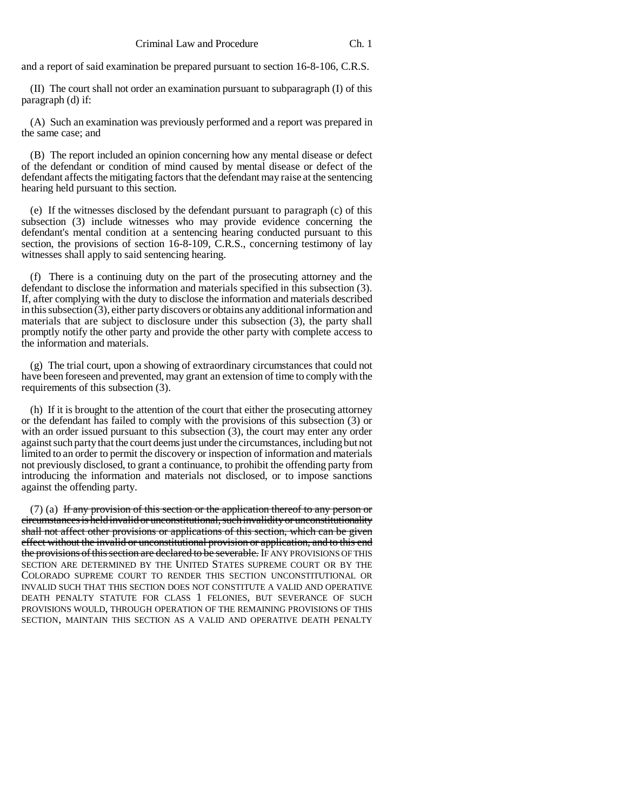and a report of said examination be prepared pursuant to section 16-8-106, C.R.S.

(II) The court shall not order an examination pursuant to subparagraph (I) of this paragraph (d) if:

(A) Such an examination was previously performed and a report was prepared in the same case; and

(B) The report included an opinion concerning how any mental disease or defect of the defendant or condition of mind caused by mental disease or defect of the defendant affects the mitigating factors that the defendant may raise at the sentencing hearing held pursuant to this section.

(e) If the witnesses disclosed by the defendant pursuant to paragraph (c) of this subsection (3) include witnesses who may provide evidence concerning the defendant's mental condition at a sentencing hearing conducted pursuant to this section, the provisions of section 16-8-109, C.R.S., concerning testimony of lay witnesses shall apply to said sentencing hearing.

(f) There is a continuing duty on the part of the prosecuting attorney and the defendant to disclose the information and materials specified in this subsection (3). If, after complying with the duty to disclose the information and materials described in this subsection  $(3)$ , either party discovers or obtains any additional information and materials that are subject to disclosure under this subsection (3), the party shall promptly notify the other party and provide the other party with complete access to the information and materials.

(g) The trial court, upon a showing of extraordinary circumstances that could not have been foreseen and prevented, may grant an extension of time to comply with the requirements of this subsection (3).

(h) If it is brought to the attention of the court that either the prosecuting attorney or the defendant has failed to comply with the provisions of this subsection (3) or with an order issued pursuant to this subsection (3), the court may enter any order against such party that the court deems just under the circumstances, including but not limited to an order to permit the discovery or inspection of information and materials not previously disclosed, to grant a continuance, to prohibit the offending party from introducing the information and materials not disclosed, or to impose sanctions against the offending party.

 $(7)$  (a) If any provision of this section or the application thereof to any person or circumstances is held invalid or unconstitutional, such invalidity or unconstitutionality shall not affect other provisions or applications of this section, which can be given effect without the invalid or unconstitutional provision or application, and to this end the provisions of this section are declared to be severable. IF ANY PROVISIONS OF THIS SECTION ARE DETERMINED BY THE UNITED STATES SUPREME COURT OR BY THE COLORADO SUPREME COURT TO RENDER THIS SECTION UNCONSTITUTIONAL OR INVALID SUCH THAT THIS SECTION DOES NOT CONSTITUTE A VALID AND OPERATIVE DEATH PENALTY STATUTE FOR CLASS 1 FELONIES, BUT SEVERANCE OF SUCH PROVISIONS WOULD, THROUGH OPERATION OF THE REMAINING PROVISIONS OF THIS SECTION, MAINTAIN THIS SECTION AS A VALID AND OPERATIVE DEATH PENALTY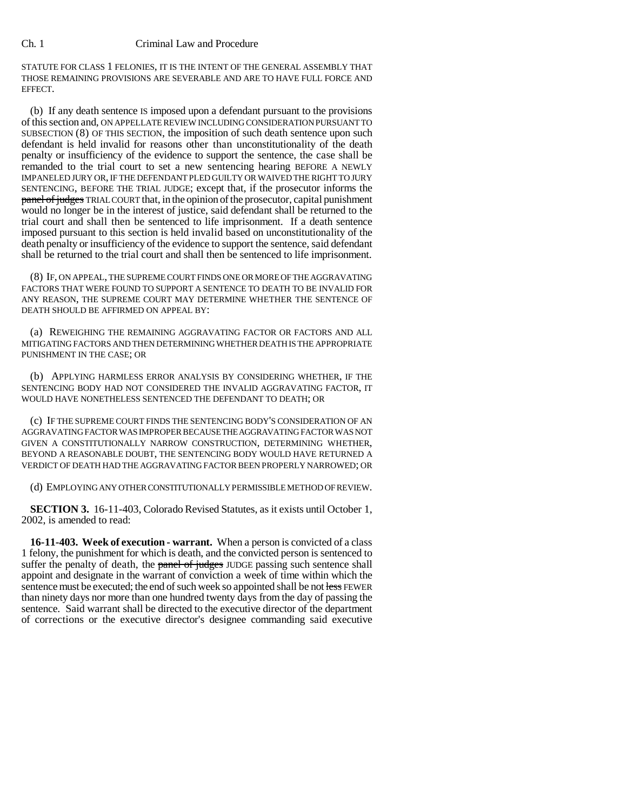STATUTE FOR CLASS 1 FELONIES, IT IS THE INTENT OF THE GENERAL ASSEMBLY THAT THOSE REMAINING PROVISIONS ARE SEVERABLE AND ARE TO HAVE FULL FORCE AND EFFECT.

(b) If any death sentence IS imposed upon a defendant pursuant to the provisions of this section and, ON APPELLATE REVIEW INCLUDING CONSIDERATION PURSUANT TO SUBSECTION (8) OF THIS SECTION, the imposition of such death sentence upon such defendant is held invalid for reasons other than unconstitutionality of the death penalty or insufficiency of the evidence to support the sentence, the case shall be remanded to the trial court to set a new sentencing hearing BEFORE A NEWLY IMPANELED JURY OR, IF THE DEFENDANT PLED GUILTY OR WAIVED THE RIGHT TO JURY SENTENCING, BEFORE THE TRIAL JUDGE; except that, if the prosecutor informs the panel of judges TRIAL COURT that, in the opinion of the prosecutor, capital punishment would no longer be in the interest of justice, said defendant shall be returned to the trial court and shall then be sentenced to life imprisonment. If a death sentence imposed pursuant to this section is held invalid based on unconstitutionality of the death penalty or insufficiency of the evidence to support the sentence, said defendant shall be returned to the trial court and shall then be sentenced to life imprisonment.

(8) IF, ON APPEAL, THE SUPREME COURT FINDS ONE OR MORE OF THE AGGRAVATING FACTORS THAT WERE FOUND TO SUPPORT A SENTENCE TO DEATH TO BE INVALID FOR ANY REASON, THE SUPREME COURT MAY DETERMINE WHETHER THE SENTENCE OF DEATH SHOULD BE AFFIRMED ON APPEAL BY:

(a) REWEIGHING THE REMAINING AGGRAVATING FACTOR OR FACTORS AND ALL MITIGATING FACTORS AND THEN DETERMINING WHETHER DEATH IS THE APPROPRIATE PUNISHMENT IN THE CASE; OR

(b) APPLYING HARMLESS ERROR ANALYSIS BY CONSIDERING WHETHER, IF THE SENTENCING BODY HAD NOT CONSIDERED THE INVALID AGGRAVATING FACTOR, IT WOULD HAVE NONETHELESS SENTENCED THE DEFENDANT TO DEATH; OR

(c) IF THE SUPREME COURT FINDS THE SENTENCING BODY'S CONSIDERATION OF AN AGGRAVATING FACTOR WAS IMPROPER BECAUSE THE AGGRAVATING FACTOR WAS NOT GIVEN A CONSTITUTIONALLY NARROW CONSTRUCTION, DETERMINING WHETHER, BEYOND A REASONABLE DOUBT, THE SENTENCING BODY WOULD HAVE RETURNED A VERDICT OF DEATH HAD THE AGGRAVATING FACTOR BEEN PROPERLY NARROWED; OR

(d) EMPLOYING ANY OTHER CONSTITUTIONALLY PERMISSIBLE METHOD OF REVIEW.

**SECTION 3.** 16-11-403, Colorado Revised Statutes, as it exists until October 1, 2002, is amended to read:

**16-11-403. Week of execution - warrant.** When a person is convicted of a class 1 felony, the punishment for which is death, and the convicted person is sentenced to suffer the penalty of death, the panel of judges JUDGE passing such sentence shall appoint and designate in the warrant of conviction a week of time within which the sentence must be executed; the end of such week so appointed shall be not less FEWER than ninety days nor more than one hundred twenty days from the day of passing the sentence. Said warrant shall be directed to the executive director of the department of corrections or the executive director's designee commanding said executive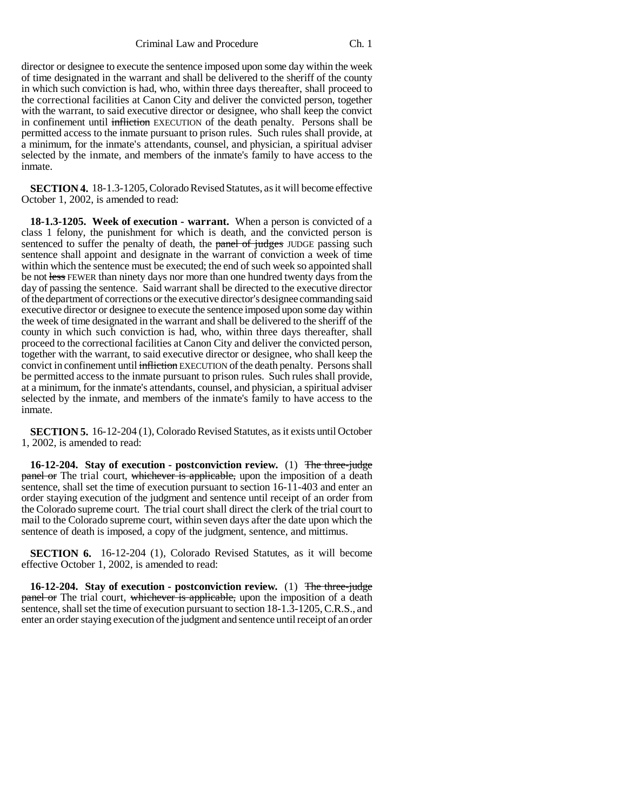director or designee to execute the sentence imposed upon some day within the week of time designated in the warrant and shall be delivered to the sheriff of the county in which such conviction is had, who, within three days thereafter, shall proceed to the correctional facilities at Canon City and deliver the convicted person, together with the warrant, to said executive director or designee, who shall keep the convict in confinement until infliction EXECUTION of the death penalty. Persons shall be permitted access to the inmate pursuant to prison rules. Such rules shall provide, at a minimum, for the inmate's attendants, counsel, and physician, a spiritual adviser selected by the inmate, and members of the inmate's family to have access to the inmate.

**SECTION 4.** 18-1.3-1205, Colorado Revised Statutes, as it will become effective October 1, 2002, is amended to read:

**18-1.3-1205. Week of execution - warrant.** When a person is convicted of a class 1 felony, the punishment for which is death, and the convicted person is sentenced to suffer the penalty of death, the panel of judges JUDGE passing such sentence shall appoint and designate in the warrant of conviction a week of time within which the sentence must be executed; the end of such week so appointed shall be not less FEWER than ninety days nor more than one hundred twenty days from the day of passing the sentence. Said warrant shall be directed to the executive director of the department of corrections or the executive director's designee commanding said executive director or designee to execute the sentence imposed upon some day within the week of time designated in the warrant and shall be delivered to the sheriff of the county in which such conviction is had, who, within three days thereafter, shall proceed to the correctional facilities at Canon City and deliver the convicted person, together with the warrant, to said executive director or designee, who shall keep the convict in confinement until infliction EXECUTION of the death penalty. Persons shall be permitted access to the inmate pursuant to prison rules. Such rules shall provide, at a minimum, for the inmate's attendants, counsel, and physician, a spiritual adviser selected by the inmate, and members of the inmate's family to have access to the inmate.

**SECTION 5.** 16-12-204 (1), Colorado Revised Statutes, as it exists until October 1, 2002, is amended to read:

**16-12-204. Stay of execution - postconviction review.** (1) The three-judge panel or The trial court, whichever is applicable, upon the imposition of a death sentence, shall set the time of execution pursuant to section 16-11-403 and enter an order staying execution of the judgment and sentence until receipt of an order from the Colorado supreme court. The trial court shall direct the clerk of the trial court to mail to the Colorado supreme court, within seven days after the date upon which the sentence of death is imposed, a copy of the judgment, sentence, and mittimus.

**SECTION 6.** 16-12-204 (1), Colorado Revised Statutes, as it will become effective October 1, 2002, is amended to read:

**16-12-204. Stay of execution - postconviction review.** (1) The three-judge panel or The trial court, whichever is applicable, upon the imposition of a death sentence, shall set the time of execution pursuant to section 18-1.3-1205, C.R.S., and enter an order staying execution of the judgment and sentence until receipt of an order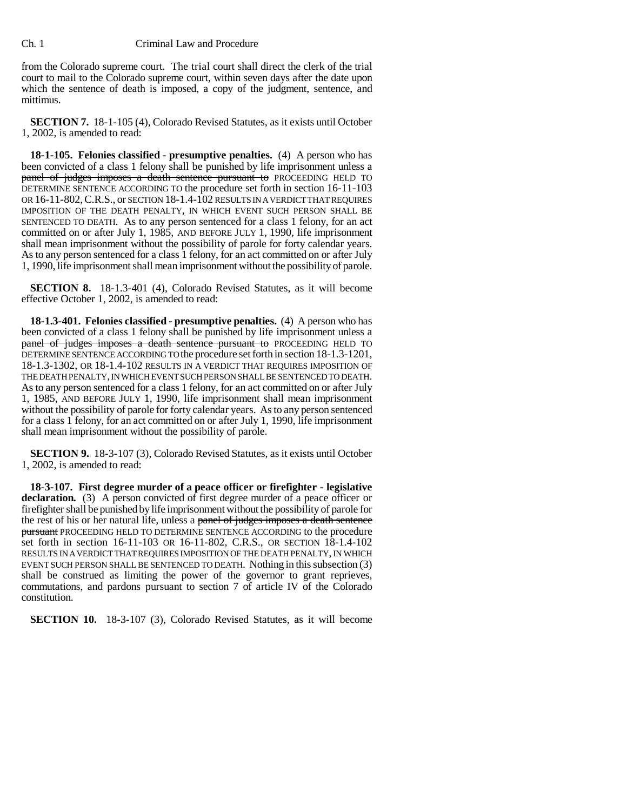from the Colorado supreme court. The trial court shall direct the clerk of the trial court to mail to the Colorado supreme court, within seven days after the date upon which the sentence of death is imposed, a copy of the judgment, sentence, and mittimus.

**SECTION 7.** 18-1-105 (4), Colorado Revised Statutes, as it exists until October 1, 2002, is amended to read:

**18-1-105. Felonies classified - presumptive penalties.** (4) A person who has been convicted of a class 1 felony shall be punished by life imprisonment unless a panel of judges imposes a death sentence pursuant to PROCEEDING HELD TO DETERMINE SENTENCE ACCORDING TO the procedure set forth in section 16-11-103 OR 16-11-802, C.R.S., or SECTION 18-1.4-102 RESULTS IN A VERDICT THAT REQUIRES IMPOSITION OF THE DEATH PENALTY, IN WHICH EVENT SUCH PERSON SHALL BE SENTENCED TO DEATH. As to any person sentenced for a class 1 felony, for an act committed on or after July 1, 1985, AND BEFORE JULY 1, 1990, life imprisonment shall mean imprisonment without the possibility of parole for forty calendar years. As to any person sentenced for a class 1 felony, for an act committed on or after July 1, 1990, life imprisonment shall mean imprisonment without the possibility of parole.

**SECTION 8.** 18-1.3-401 (4), Colorado Revised Statutes, as it will become effective October 1, 2002, is amended to read:

**18-1.3-401. Felonies classified - presumptive penalties.** (4) A person who has been convicted of a class 1 felony shall be punished by life imprisonment unless a panel of judges imposes a death sentence pursuant to PROCEEDING HELD TO DETERMINE SENTENCE ACCORDING TO the procedure set forth in section 18-1.3-1201, 18-1.3-1302, OR 18-1.4-102 RESULTS IN A VERDICT THAT REQUIRES IMPOSITION OF THE DEATH PENALTY, IN WHICH EVENT SUCH PERSON SHALL BE SENTENCED TO DEATH. As to any person sentenced for a class 1 felony, for an act committed on or after July 1, 1985, AND BEFORE JULY 1, 1990, life imprisonment shall mean imprisonment without the possibility of parole for forty calendar years. As to any person sentenced for a class 1 felony, for an act committed on or after July 1, 1990, life imprisonment shall mean imprisonment without the possibility of parole.

**SECTION 9.** 18-3-107 (3), Colorado Revised Statutes, as it exists until October 1, 2002, is amended to read:

**18-3-107. First degree murder of a peace officer or firefighter - legislative declaration.** (3) A person convicted of first degree murder of a peace officer or firefighter shall be punished by life imprisonment without the possibility of parole for the rest of his or her natural life, unless a panel of judges imposes a death sentence pursuant PROCEEDING HELD TO DETERMINE SENTENCE ACCORDING to the procedure set forth in section 16-11-103 OR 16-11-802, C.R.S., OR SECTION 18-1.4-102 RESULTS IN A VERDICT THAT REQUIRES IMPOSITION OF THE DEATH PENALTY, IN WHICH EVENT SUCH PERSON SHALL BE SENTENCED TO DEATH. Nothing in this subsection (3) shall be construed as limiting the power of the governor to grant reprieves, commutations, and pardons pursuant to section 7 of article IV of the Colorado constitution.

**SECTION 10.** 18-3-107 (3), Colorado Revised Statutes, as it will become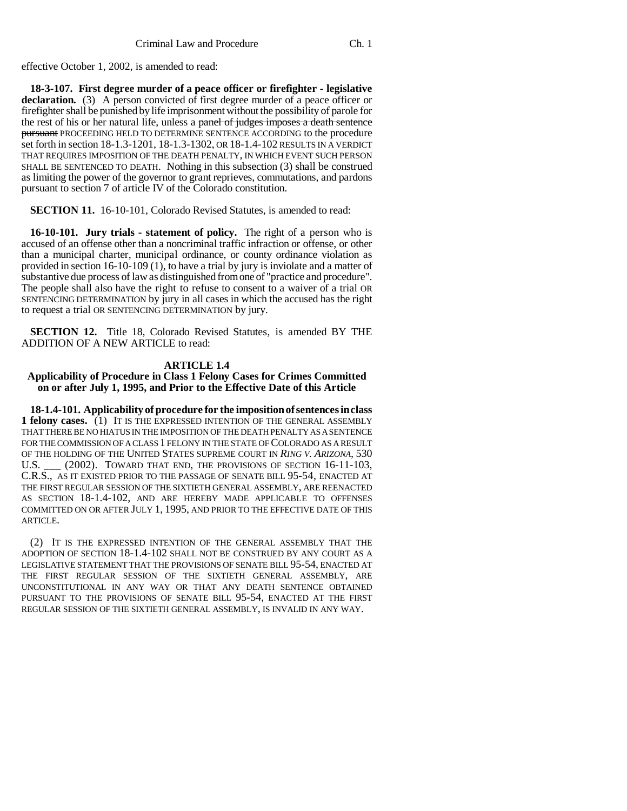effective October 1, 2002, is amended to read:

**18-3-107. First degree murder of a peace officer or firefighter - legislative declaration.** (3) A person convicted of first degree murder of a peace officer or firefighter shall be punished by life imprisonment without the possibility of parole for the rest of his or her natural life, unless a panel of judges imposes a death sentence pursuant PROCEEDING HELD TO DETERMINE SENTENCE ACCORDING to the procedure set forth in section 18-1.3-1201, 18-1.3-1302, OR 18-1.4-102 RESULTS IN A VERDICT THAT REQUIRES IMPOSITION OF THE DEATH PENALTY, IN WHICH EVENT SUCH PERSON SHALL BE SENTENCED TO DEATH. Nothing in this subsection (3) shall be construed as limiting the power of the governor to grant reprieves, commutations, and pardons pursuant to section 7 of article IV of the Colorado constitution.

**SECTION 11.** 16-10-101, Colorado Revised Statutes, is amended to read:

**16-10-101. Jury trials - statement of policy.** The right of a person who is accused of an offense other than a noncriminal traffic infraction or offense, or other than a municipal charter, municipal ordinance, or county ordinance violation as provided in section 16-10-109 (1), to have a trial by jury is inviolate and a matter of substantive due process of law as distinguished from one of "practice and procedure". The people shall also have the right to refuse to consent to a waiver of a trial OR SENTENCING DETERMINATION by jury in all cases in which the accused has the right to request a trial OR SENTENCING DETERMINATION by jury.

**SECTION 12.** Title 18, Colorado Revised Statutes, is amended BY THE ADDITION OF A NEW ARTICLE to read:

## **ARTICLE 1.4**

## **Applicability of Procedure in Class 1 Felony Cases for Crimes Committed on or after July 1, 1995, and Prior to the Effective Date of this Article**

**18-1.4-101. Applicability of procedure for the imposition of sentences in class 1 felony cases.** (1) IT IS THE EXPRESSED INTENTION OF THE GENERAL ASSEMBLY THAT THERE BE NO HIATUS IN THE IMPOSITION OF THE DEATH PENALTY AS A SENTENCE FOR THE COMMISSION OF A CLASS 1 FELONY IN THE STATE OF COLORADO AS A RESULT OF THE HOLDING OF THE UNITED STATES SUPREME COURT IN *RING V. ARIZONA,* 530 U.S. (2002). TOWARD THAT END, THE PROVISIONS OF SECTION 16-11-103, C.R.S., AS IT EXISTED PRIOR TO THE PASSAGE OF SENATE BILL 95-54, ENACTED AT THE FIRST REGULAR SESSION OF THE SIXTIETH GENERAL ASSEMBLY, ARE REENACTED AS SECTION 18-1.4-102, AND ARE HEREBY MADE APPLICABLE TO OFFENSES COMMITTED ON OR AFTER JULY 1, 1995, AND PRIOR TO THE EFFECTIVE DATE OF THIS ARTICLE.

(2) IT IS THE EXPRESSED INTENTION OF THE GENERAL ASSEMBLY THAT THE ADOPTION OF SECTION 18-1.4-102 SHALL NOT BE CONSTRUED BY ANY COURT AS A LEGISLATIVE STATEMENT THAT THE PROVISIONS OF SENATE BILL 95-54, ENACTED AT THE FIRST REGULAR SESSION OF THE SIXTIETH GENERAL ASSEMBLY, ARE UNCONSTITUTIONAL IN ANY WAY OR THAT ANY DEATH SENTENCE OBTAINED PURSUANT TO THE PROVISIONS OF SENATE BILL 95-54, ENACTED AT THE FIRST REGULAR SESSION OF THE SIXTIETH GENERAL ASSEMBLY, IS INVALID IN ANY WAY.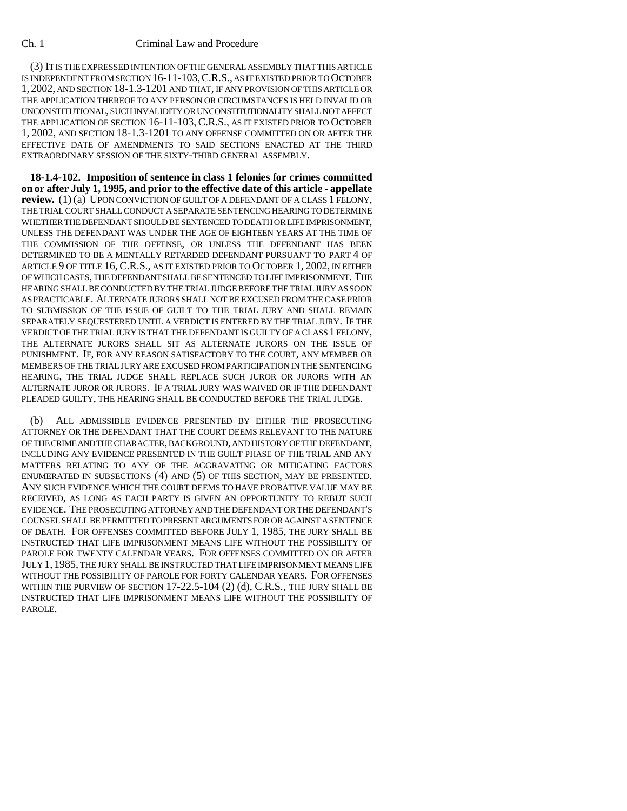(3) IT IS THE EXPRESSED INTENTION OF THE GENERAL ASSEMBLY THAT THIS ARTICLE IS INDEPENDENT FROM SECTION 16-11-103,C.R.S., AS IT EXISTED PRIOR TO OCTOBER 1, 2002, AND SECTION 18-1.3-1201 AND THAT, IF ANY PROVISION OF THIS ARTICLE OR THE APPLICATION THEREOF TO ANY PERSON OR CIRCUMSTANCES IS HELD INVALID OR UNCONSTITUTIONAL, SUCH INVALIDITY OR UNCONSTITUTIONALITY SHALL NOT AFFECT THE APPLICATION OF SECTION 16-11-103, C.R.S., AS IT EXISTED PRIOR TO OCTOBER 1, 2002, AND SECTION 18-1.3-1201 TO ANY OFFENSE COMMITTED ON OR AFTER THE EFFECTIVE DATE OF AMENDMENTS TO SAID SECTIONS ENACTED AT THE THIRD EXTRAORDINARY SESSION OF THE SIXTY-THIRD GENERAL ASSEMBLY.

**18-1.4-102. Imposition of sentence in class 1 felonies for crimes committed on or after July 1, 1995, and prior to the effective date of this article - appellate review.** (1) (a) UPON CONVICTION OF GUILT OF A DEFENDANT OF A CLASS 1 FELONY, THE TRIAL COURT SHALL CONDUCT A SEPARATE SENTENCING HEARING TO DETERMINE WHETHER THE DEFENDANT SHOULD BE SENTENCED TO DEATH OR LIFE IMPRISONMENT, UNLESS THE DEFENDANT WAS UNDER THE AGE OF EIGHTEEN YEARS AT THE TIME OF THE COMMISSION OF THE OFFENSE, OR UNLESS THE DEFENDANT HAS BEEN DETERMINED TO BE A MENTALLY RETARDED DEFENDANT PURSUANT TO PART 4 OF ARTICLE 9 OF TITLE 16, C.R.S., AS IT EXISTED PRIOR TO OCTOBER 1, 2002, IN EITHER OF WHICH CASES, THE DEFENDANT SHALL BE SENTENCED TO LIFE IMPRISONMENT. THE HEARING SHALL BE CONDUCTED BY THE TRIAL JUDGE BEFORE THE TRIAL JURY AS SOON AS PRACTICABLE. ALTERNATE JURORS SHALL NOT BE EXCUSED FROM THE CASE PRIOR TO SUBMISSION OF THE ISSUE OF GUILT TO THE TRIAL JURY AND SHALL REMAIN SEPARATELY SEQUESTERED UNTIL A VERDICT IS ENTERED BY THE TRIAL JURY. IF THE VERDICT OF THE TRIAL JURY IS THAT THE DEFENDANT IS GUILTY OF A CLASS 1 FELONY, THE ALTERNATE JURORS SHALL SIT AS ALTERNATE JURORS ON THE ISSUE OF PUNISHMENT. IF, FOR ANY REASON SATISFACTORY TO THE COURT, ANY MEMBER OR MEMBERS OF THE TRIAL JURY ARE EXCUSED FROM PARTICIPATION IN THE SENTENCING HEARING, THE TRIAL JUDGE SHALL REPLACE SUCH JUROR OR JURORS WITH AN ALTERNATE JUROR OR JURORS. IF A TRIAL JURY WAS WAIVED OR IF THE DEFENDANT PLEADED GUILTY, THE HEARING SHALL BE CONDUCTED BEFORE THE TRIAL JUDGE.

(b) ALL ADMISSIBLE EVIDENCE PRESENTED BY EITHER THE PROSECUTING ATTORNEY OR THE DEFENDANT THAT THE COURT DEEMS RELEVANT TO THE NATURE OF THE CRIME AND THE CHARACTER, BACKGROUND, AND HISTORY OF THE DEFENDANT, INCLUDING ANY EVIDENCE PRESENTED IN THE GUILT PHASE OF THE TRIAL AND ANY MATTERS RELATING TO ANY OF THE AGGRAVATING OR MITIGATING FACTORS ENUMERATED IN SUBSECTIONS (4) AND (5) OF THIS SECTION, MAY BE PRESENTED. ANY SUCH EVIDENCE WHICH THE COURT DEEMS TO HAVE PROBATIVE VALUE MAY BE RECEIVED, AS LONG AS EACH PARTY IS GIVEN AN OPPORTUNITY TO REBUT SUCH EVIDENCE. THE PROSECUTING ATTORNEY AND THE DEFENDANT OR THE DEFENDANT'S COUNSEL SHALL BE PERMITTED TO PRESENT ARGUMENTS FOR OR AGAINST A SENTENCE OF DEATH. FOR OFFENSES COMMITTED BEFORE JULY 1, 1985, THE JURY SHALL BE INSTRUCTED THAT LIFE IMPRISONMENT MEANS LIFE WITHOUT THE POSSIBILITY OF PAROLE FOR TWENTY CALENDAR YEARS. FOR OFFENSES COMMITTED ON OR AFTER JULY 1, 1985, THE JURY SHALL BE INSTRUCTED THAT LIFE IMPRISONMENT MEANS LIFE WITHOUT THE POSSIBILITY OF PAROLE FOR FORTY CALENDAR YEARS. FOR OFFENSES WITHIN THE PURVIEW OF SECTION 17-22.5-104 (2) (d), C.R.S., THE JURY SHALL BE INSTRUCTED THAT LIFE IMPRISONMENT MEANS LIFE WITHOUT THE POSSIBILITY OF PAROLE.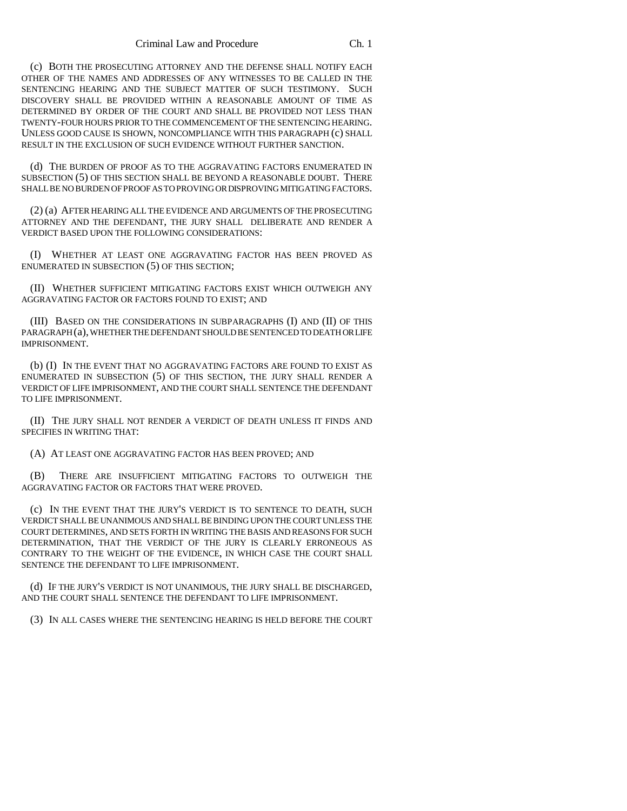(c) BOTH THE PROSECUTING ATTORNEY AND THE DEFENSE SHALL NOTIFY EACH OTHER OF THE NAMES AND ADDRESSES OF ANY WITNESSES TO BE CALLED IN THE SENTENCING HEARING AND THE SUBJECT MATTER OF SUCH TESTIMONY. SUCH DISCOVERY SHALL BE PROVIDED WITHIN A REASONABLE AMOUNT OF TIME AS DETERMINED BY ORDER OF THE COURT AND SHALL BE PROVIDED NOT LESS THAN TWENTY-FOUR HOURS PRIOR TO THE COMMENCEMENT OF THE SENTENCING HEARING. UNLESS GOOD CAUSE IS SHOWN, NONCOMPLIANCE WITH THIS PARAGRAPH (c) SHALL RESULT IN THE EXCLUSION OF SUCH EVIDENCE WITHOUT FURTHER SANCTION.

(d) THE BURDEN OF PROOF AS TO THE AGGRAVATING FACTORS ENUMERATED IN SUBSECTION (5) OF THIS SECTION SHALL BE BEYOND A REASONABLE DOUBT. THERE SHALL BE NO BURDEN OF PROOF AS TO PROVING OR DISPROVING MITIGATING FACTORS.

(2) (a) AFTER HEARING ALL THE EVIDENCE AND ARGUMENTS OF THE PROSECUTING ATTORNEY AND THE DEFENDANT, THE JURY SHALL DELIBERATE AND RENDER A VERDICT BASED UPON THE FOLLOWING CONSIDERATIONS:

(I) WHETHER AT LEAST ONE AGGRAVATING FACTOR HAS BEEN PROVED AS ENUMERATED IN SUBSECTION (5) OF THIS SECTION;

(II) WHETHER SUFFICIENT MITIGATING FACTORS EXIST WHICH OUTWEIGH ANY AGGRAVATING FACTOR OR FACTORS FOUND TO EXIST; AND

(III) BASED ON THE CONSIDERATIONS IN SUBPARAGRAPHS (I) AND (II) OF THIS PARAGRAPH (a), WHETHER THE DEFENDANT SHOULD BE SENTENCED TO DEATH OR LIFE IMPRISONMENT.

(b) (I) IN THE EVENT THAT NO AGGRAVATING FACTORS ARE FOUND TO EXIST AS ENUMERATED IN SUBSECTION (5) OF THIS SECTION, THE JURY SHALL RENDER A VERDICT OF LIFE IMPRISONMENT, AND THE COURT SHALL SENTENCE THE DEFENDANT TO LIFE IMPRISONMENT.

(II) THE JURY SHALL NOT RENDER A VERDICT OF DEATH UNLESS IT FINDS AND SPECIFIES IN WRITING THAT:

(A) AT LEAST ONE AGGRAVATING FACTOR HAS BEEN PROVED; AND

(B) THERE ARE INSUFFICIENT MITIGATING FACTORS TO OUTWEIGH THE AGGRAVATING FACTOR OR FACTORS THAT WERE PROVED.

(c) IN THE EVENT THAT THE JURY'S VERDICT IS TO SENTENCE TO DEATH, SUCH VERDICT SHALL BE UNANIMOUS AND SHALL BE BINDING UPON THE COURT UNLESS THE COURT DETERMINES, AND SETS FORTH IN WRITING THE BASIS AND REASONS FOR SUCH DETERMINATION, THAT THE VERDICT OF THE JURY IS CLEARLY ERRONEOUS AS CONTRARY TO THE WEIGHT OF THE EVIDENCE, IN WHICH CASE THE COURT SHALL SENTENCE THE DEFENDANT TO LIFE IMPRISONMENT.

(d) IF THE JURY'S VERDICT IS NOT UNANIMOUS, THE JURY SHALL BE DISCHARGED, AND THE COURT SHALL SENTENCE THE DEFENDANT TO LIFE IMPRISONMENT.

(3) IN ALL CASES WHERE THE SENTENCING HEARING IS HELD BEFORE THE COURT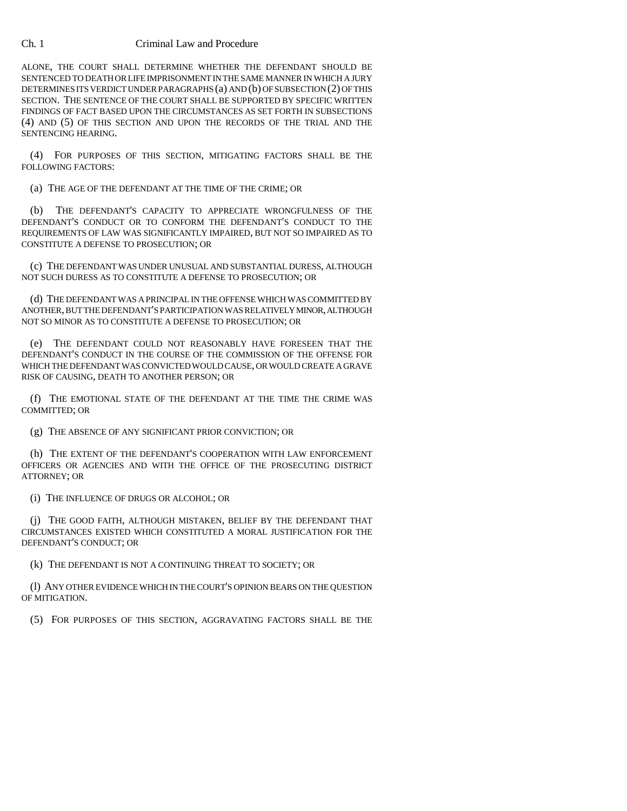ALONE, THE COURT SHALL DETERMINE WHETHER THE DEFENDANT SHOULD BE SENTENCED TO DEATH OR LIFE IMPRISONMENT IN THE SAME MANNER IN WHICH A JURY DETERMINES ITS VERDICT UNDER PARAGRAPHS (a) AND (b) OF SUBSECTION (2) OF THIS SECTION. THE SENTENCE OF THE COURT SHALL BE SUPPORTED BY SPECIFIC WRITTEN FINDINGS OF FACT BASED UPON THE CIRCUMSTANCES AS SET FORTH IN SUBSECTIONS (4) AND (5) OF THIS SECTION AND UPON THE RECORDS OF THE TRIAL AND THE SENTENCING HEARING.

(4) FOR PURPOSES OF THIS SECTION, MITIGATING FACTORS SHALL BE THE FOLLOWING FACTORS:

(a) THE AGE OF THE DEFENDANT AT THE TIME OF THE CRIME; OR

(b) THE DEFENDANT'S CAPACITY TO APPRECIATE WRONGFULNESS OF THE DEFENDANT'S CONDUCT OR TO CONFORM THE DEFENDANT'S CONDUCT TO THE REQUIREMENTS OF LAW WAS SIGNIFICANTLY IMPAIRED, BUT NOT SO IMPAIRED AS TO CONSTITUTE A DEFENSE TO PROSECUTION; OR

(c) THE DEFENDANT WAS UNDER UNUSUAL AND SUBSTANTIAL DURESS, ALTHOUGH NOT SUCH DURESS AS TO CONSTITUTE A DEFENSE TO PROSECUTION; OR

(d) THE DEFENDANT WAS A PRINCIPAL IN THE OFFENSE WHICH WAS COMMITTED BY ANOTHER, BUT THE DEFENDANT'S PARTICIPATION WAS RELATIVELY MINOR, ALTHOUGH NOT SO MINOR AS TO CONSTITUTE A DEFENSE TO PROSECUTION; OR

(e) THE DEFENDANT COULD NOT REASONABLY HAVE FORESEEN THAT THE DEFENDANT'S CONDUCT IN THE COURSE OF THE COMMISSION OF THE OFFENSE FOR WHICH THE DEFENDANT WAS CONVICTED WOULD CAUSE, OR WOULD CREATE A GRAVE RISK OF CAUSING, DEATH TO ANOTHER PERSON; OR

(f) THE EMOTIONAL STATE OF THE DEFENDANT AT THE TIME THE CRIME WAS COMMITTED; OR

(g) THE ABSENCE OF ANY SIGNIFICANT PRIOR CONVICTION; OR

(h) THE EXTENT OF THE DEFENDANT'S COOPERATION WITH LAW ENFORCEMENT OFFICERS OR AGENCIES AND WITH THE OFFICE OF THE PROSECUTING DISTRICT ATTORNEY; OR

(i) THE INFLUENCE OF DRUGS OR ALCOHOL; OR

(j) THE GOOD FAITH, ALTHOUGH MISTAKEN, BELIEF BY THE DEFENDANT THAT CIRCUMSTANCES EXISTED WHICH CONSTITUTED A MORAL JUSTIFICATION FOR THE DEFENDANT'S CONDUCT; OR

(k) THE DEFENDANT IS NOT A CONTINUING THREAT TO SOCIETY; OR

(l) ANY OTHER EVIDENCE WHICH IN THE COURT'S OPINION BEARS ON THE QUESTION OF MITIGATION.

(5) FOR PURPOSES OF THIS SECTION, AGGRAVATING FACTORS SHALL BE THE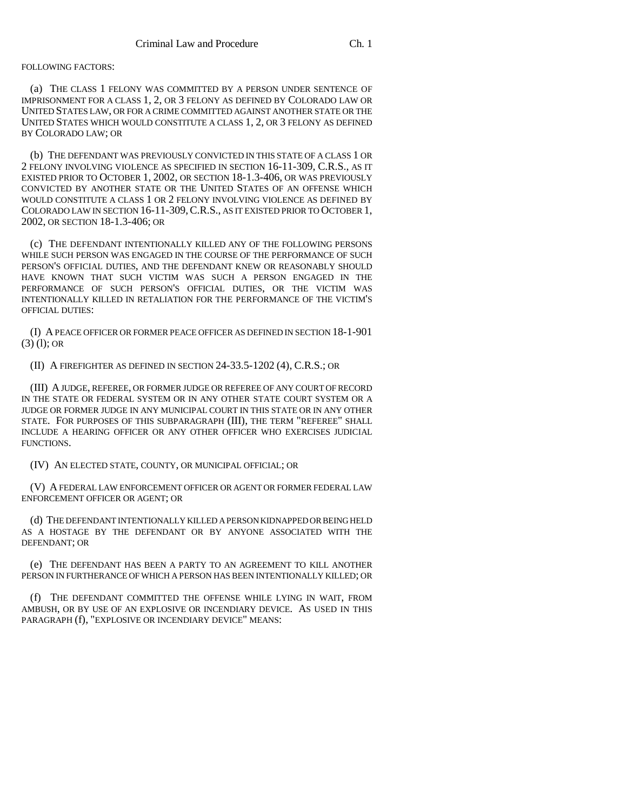#### FOLLOWING FACTORS:

(a) THE CLASS 1 FELONY WAS COMMITTED BY A PERSON UNDER SENTENCE OF IMPRISONMENT FOR A CLASS 1, 2, OR 3 FELONY AS DEFINED BY COLORADO LAW OR UNITED STATES LAW, OR FOR A CRIME COMMITTED AGAINST ANOTHER STATE OR THE UNITED STATES WHICH WOULD CONSTITUTE A CLASS 1, 2, OR 3 FELONY AS DEFINED BY COLORADO LAW; OR

(b) THE DEFENDANT WAS PREVIOUSLY CONVICTED IN THIS STATE OF A CLASS 1 OR 2 FELONY INVOLVING VIOLENCE AS SPECIFIED IN SECTION 16-11-309, C.R.S., AS IT EXISTED PRIOR TO OCTOBER 1, 2002, OR SECTION 18-1.3-406, OR WAS PREVIOUSLY CONVICTED BY ANOTHER STATE OR THE UNITED STATES OF AN OFFENSE WHICH WOULD CONSTITUTE A CLASS 1 OR 2 FELONY INVOLVING VIOLENCE AS DEFINED BY COLORADO LAW IN SECTION 16-11-309,C.R.S., AS IT EXISTED PRIOR TO OCTOBER 1, 2002, OR SECTION 18-1.3-406; OR

(c) THE DEFENDANT INTENTIONALLY KILLED ANY OF THE FOLLOWING PERSONS WHILE SUCH PERSON WAS ENGAGED IN THE COURSE OF THE PERFORMANCE OF SUCH PERSON'S OFFICIAL DUTIES, AND THE DEFENDANT KNEW OR REASONABLY SHOULD HAVE KNOWN THAT SUCH VICTIM WAS SUCH A PERSON ENGAGED IN THE PERFORMANCE OF SUCH PERSON'S OFFICIAL DUTIES, OR THE VICTIM WAS INTENTIONALLY KILLED IN RETALIATION FOR THE PERFORMANCE OF THE VICTIM'S OFFICIAL DUTIES:

(I) A PEACE OFFICER OR FORMER PEACE OFFICER AS DEFINED IN SECTION 18-1-901  $(3)$  (1); OR

(II) A FIREFIGHTER AS DEFINED IN SECTION 24-33.5-1202 (4), C.R.S.; OR

(III) A JUDGE, REFEREE, OR FORMER JUDGE OR REFEREE OF ANY COURT OF RECORD IN THE STATE OR FEDERAL SYSTEM OR IN ANY OTHER STATE COURT SYSTEM OR A JUDGE OR FORMER JUDGE IN ANY MUNICIPAL COURT IN THIS STATE OR IN ANY OTHER STATE. FOR PURPOSES OF THIS SUBPARAGRAPH (III), THE TERM "REFEREE" SHALL INCLUDE A HEARING OFFICER OR ANY OTHER OFFICER WHO EXERCISES JUDICIAL FUNCTIONS.

(IV) AN ELECTED STATE, COUNTY, OR MUNICIPAL OFFICIAL; OR

(V) A FEDERAL LAW ENFORCEMENT OFFICER OR AGENT OR FORMER FEDERAL LAW ENFORCEMENT OFFICER OR AGENT; OR

(d) THE DEFENDANT INTENTIONALLY KILLED A PERSON KIDNAPPED OR BEING HELD AS A HOSTAGE BY THE DEFENDANT OR BY ANYONE ASSOCIATED WITH THE DEFENDANT; OR

(e) THE DEFENDANT HAS BEEN A PARTY TO AN AGREEMENT TO KILL ANOTHER PERSON IN FURTHERANCE OF WHICH A PERSON HAS BEEN INTENTIONALLY KILLED; OR

(f) THE DEFENDANT COMMITTED THE OFFENSE WHILE LYING IN WAIT, FROM AMBUSH, OR BY USE OF AN EXPLOSIVE OR INCENDIARY DEVICE. AS USED IN THIS PARAGRAPH (f), "EXPLOSIVE OR INCENDIARY DEVICE" MEANS: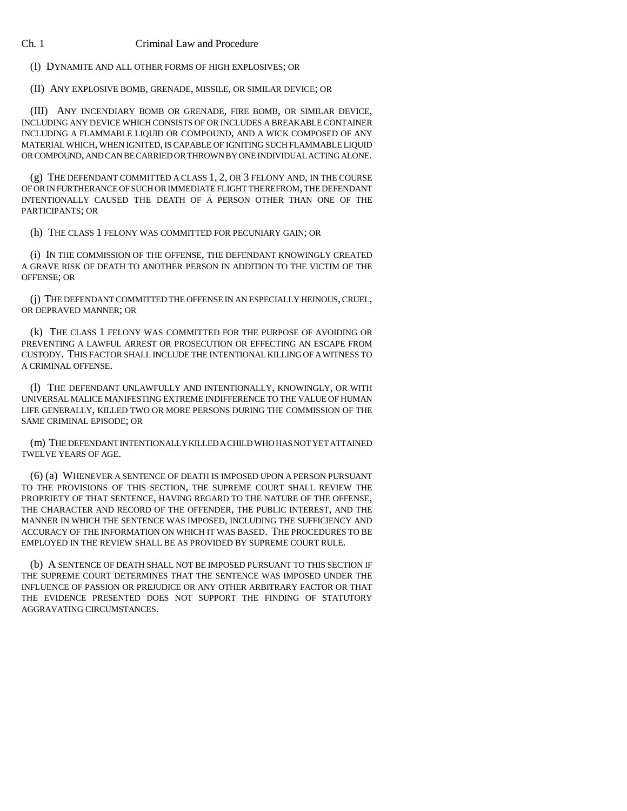(I) DYNAMITE AND ALL OTHER FORMS OF HIGH EXPLOSIVES; OR

(II) ANY EXPLOSIVE BOMB, GRENADE, MISSILE, OR SIMILAR DEVICE; OR

(III) ANY INCENDIARY BOMB OR GRENADE, FIRE BOMB, OR SIMILAR DEVICE, INCLUDING ANY DEVICE WHICH CONSISTS OF OR INCLUDES A BREAKABLE CONTAINER INCLUDING A FLAMMABLE LIQUID OR COMPOUND, AND A WICK COMPOSED OF ANY MATERIAL WHICH, WHEN IGNITED, IS CAPABLE OF IGNITING SUCH FLAMMABLE LIQUID OR COMPOUND, AND CAN BE CARRIED OR THROWN BY ONE INDIVIDUAL ACTING ALONE.

(g) THE DEFENDANT COMMITTED A CLASS 1, 2, OR 3 FELONY AND, IN THE COURSE OF OR IN FURTHERANCE OF SUCH OR IMMEDIATE FLIGHT THEREFROM, THE DEFENDANT INTENTIONALLY CAUSED THE DEATH OF A PERSON OTHER THAN ONE OF THE PARTICIPANTS; OR

(h) THE CLASS 1 FELONY WAS COMMITTED FOR PECUNIARY GAIN; OR

(i) IN THE COMMISSION OF THE OFFENSE, THE DEFENDANT KNOWINGLY CREATED A GRAVE RISK OF DEATH TO ANOTHER PERSON IN ADDITION TO THE VICTIM OF THE OFFENSE; OR

(j) THE DEFENDANT COMMITTED THE OFFENSE IN AN ESPECIALLY HEINOUS, CRUEL, OR DEPRAVED MANNER; OR

(k) THE CLASS 1 FELONY WAS COMMITTED FOR THE PURPOSE OF AVOIDING OR PREVENTING A LAWFUL ARREST OR PROSECUTION OR EFFECTING AN ESCAPE FROM CUSTODY. THIS FACTOR SHALL INCLUDE THE INTENTIONAL KILLING OF A WITNESS TO A CRIMINAL OFFENSE.

(l) THE DEFENDANT UNLAWFULLY AND INTENTIONALLY, KNOWINGLY, OR WITH UNIVERSAL MALICE MANIFESTING EXTREME INDIFFERENCE TO THE VALUE OF HUMAN LIFE GENERALLY, KILLED TWO OR MORE PERSONS DURING THE COMMISSION OF THE SAME CRIMINAL EPISODE; OR

(m) THE DEFENDANT INTENTIONALLY KILLED A CHILD WHO HAS NOT YET ATTAINED TWELVE YEARS OF AGE.

(6) (a) WHENEVER A SENTENCE OF DEATH IS IMPOSED UPON A PERSON PURSUANT TO THE PROVISIONS OF THIS SECTION, THE SUPREME COURT SHALL REVIEW THE PROPRIETY OF THAT SENTENCE, HAVING REGARD TO THE NATURE OF THE OFFENSE, THE CHARACTER AND RECORD OF THE OFFENDER, THE PUBLIC INTEREST, AND THE MANNER IN WHICH THE SENTENCE WAS IMPOSED, INCLUDING THE SUFFICIENCY AND ACCURACY OF THE INFORMATION ON WHICH IT WAS BASED. THE PROCEDURES TO BE EMPLOYED IN THE REVIEW SHALL BE AS PROVIDED BY SUPREME COURT RULE.

(b) A SENTENCE OF DEATH SHALL NOT BE IMPOSED PURSUANT TO THIS SECTION IF THE SUPREME COURT DETERMINES THAT THE SENTENCE WAS IMPOSED UNDER THE INFLUENCE OF PASSION OR PREJUDICE OR ANY OTHER ARBITRARY FACTOR OR THAT THE EVIDENCE PRESENTED DOES NOT SUPPORT THE FINDING OF STATUTORY AGGRAVATING CIRCUMSTANCES.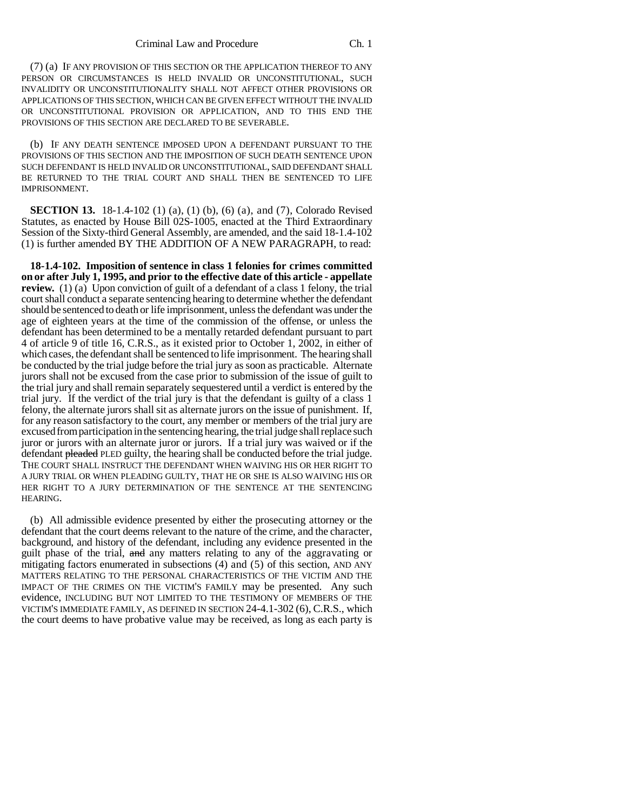(7) (a) IF ANY PROVISION OF THIS SECTION OR THE APPLICATION THEREOF TO ANY PERSON OR CIRCUMSTANCES IS HELD INVALID OR UNCONSTITUTIONAL, SUCH INVALIDITY OR UNCONSTITUTIONALITY SHALL NOT AFFECT OTHER PROVISIONS OR APPLICATIONS OF THIS SECTION, WHICH CAN BE GIVEN EFFECT WITHOUT THE INVALID OR UNCONSTITUTIONAL PROVISION OR APPLICATION, AND TO THIS END THE PROVISIONS OF THIS SECTION ARE DECLARED TO BE SEVERABLE.

(b) IF ANY DEATH SENTENCE IMPOSED UPON A DEFENDANT PURSUANT TO THE PROVISIONS OF THIS SECTION AND THE IMPOSITION OF SUCH DEATH SENTENCE UPON SUCH DEFENDANT IS HELD INVALID OR UNCONSTITUTIONAL, SAID DEFENDANT SHALL BE RETURNED TO THE TRIAL COURT AND SHALL THEN BE SENTENCED TO LIFE IMPRISONMENT.

**SECTION 13.** 18-1.4-102 (1) (a), (1) (b), (6) (a), and (7), Colorado Revised Statutes, as enacted by House Bill 02S-1005, enacted at the Third Extraordinary Session of the Sixty-third General Assembly, are amended, and the said 18-1.4-102 (1) is further amended BY THE ADDITION OF A NEW PARAGRAPH, to read:

**18-1.4-102. Imposition of sentence in class 1 felonies for crimes committed on or after July 1, 1995, and prior to the effective date of this article - appellate review.** (1) (a) Upon conviction of guilt of a defendant of a class 1 felony, the trial court shall conduct a separate sentencing hearing to determine whether the defendant should be sentenced to death or life imprisonment, unless the defendant was under the age of eighteen years at the time of the commission of the offense, or unless the defendant has been determined to be a mentally retarded defendant pursuant to part 4 of article 9 of title 16, C.R.S., as it existed prior to October 1, 2002, in either of which cases, the defendant shall be sentenced to life imprisonment. The hearing shall be conducted by the trial judge before the trial jury as soon as practicable. Alternate jurors shall not be excused from the case prior to submission of the issue of guilt to the trial jury and shall remain separately sequestered until a verdict is entered by the trial jury. If the verdict of the trial jury is that the defendant is guilty of a class 1 felony, the alternate jurors shall sit as alternate jurors on the issue of punishment. If, for any reason satisfactory to the court, any member or members of the trial jury are excused from participation in the sentencing hearing, the trial judge shall replace such juror or jurors with an alternate juror or jurors. If a trial jury was waived or if the defendant pleaded PLED guilty, the hearing shall be conducted before the trial judge. THE COURT SHALL INSTRUCT THE DEFENDANT WHEN WAIVING HIS OR HER RIGHT TO A JURY TRIAL OR WHEN PLEADING GUILTY, THAT HE OR SHE IS ALSO WAIVING HIS OR HER RIGHT TO A JURY DETERMINATION OF THE SENTENCE AT THE SENTENCING HEARING.

(b) All admissible evidence presented by either the prosecuting attorney or the defendant that the court deems relevant to the nature of the crime, and the character, background, and history of the defendant, including any evidence presented in the guilt phase of the trial, and any matters relating to any of the aggravating or mitigating factors enumerated in subsections (4) and (5) of this section, AND ANY MATTERS RELATING TO THE PERSONAL CHARACTERISTICS OF THE VICTIM AND THE IMPACT OF THE CRIMES ON THE VICTIM'S FAMILY may be presented. Any such evidence, INCLUDING BUT NOT LIMITED TO THE TESTIMONY OF MEMBERS OF THE VICTIM'S IMMEDIATE FAMILY, AS DEFINED IN SECTION 24-4.1-302 (6), C.R.S., which the court deems to have probative value may be received, as long as each party is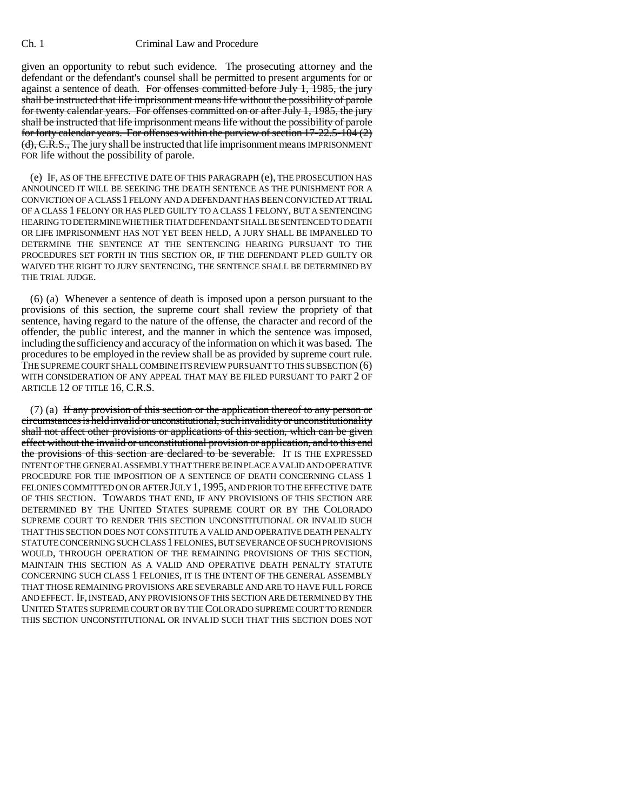given an opportunity to rebut such evidence. The prosecuting attorney and the defendant or the defendant's counsel shall be permitted to present arguments for or against a sentence of death. For offenses committed before July 1, 1985, the jury shall be instructed that life imprisonment means life without the possibility of parole for twenty calendar years. For offenses committed on or after July 1, 1985, the jury shall be instructed that life imprisonment means life without the possibility of parole for forty calendar years. For offenses within the purview of section 17-22.5-104 (2) (d), C.R.S., The jury shall be instructed that life imprisonment means IMPRISONMENT FOR life without the possibility of parole.

(e) IF, AS OF THE EFFECTIVE DATE OF THIS PARAGRAPH (e), THE PROSECUTION HAS ANNOUNCED IT WILL BE SEEKING THE DEATH SENTENCE AS THE PUNISHMENT FOR A CONVICTION OF A CLASS 1 FELONY AND A DEFENDANT HAS BEEN CONVICTED AT TRIAL OF A CLASS 1 FELONY OR HAS PLED GUILTY TO A CLASS 1 FELONY, BUT A SENTENCING HEARING TO DETERMINE WHETHER THAT DEFENDANT SHALL BE SENTENCED TO DEATH OR LIFE IMPRISONMENT HAS NOT YET BEEN HELD, A JURY SHALL BE IMPANELED TO DETERMINE THE SENTENCE AT THE SENTENCING HEARING PURSUANT TO THE PROCEDURES SET FORTH IN THIS SECTION OR, IF THE DEFENDANT PLED GUILTY OR WAIVED THE RIGHT TO JURY SENTENCING, THE SENTENCE SHALL BE DETERMINED BY THE TRIAL JUDGE.

(6) (a) Whenever a sentence of death is imposed upon a person pursuant to the provisions of this section, the supreme court shall review the propriety of that sentence, having regard to the nature of the offense, the character and record of the offender, the public interest, and the manner in which the sentence was imposed, including the sufficiency and accuracy of the information on which it was based. The procedures to be employed in the review shall be as provided by supreme court rule. THE SUPREME COURT SHALL COMBINE ITS REVIEW PURSUANT TO THIS SUBSECTION (6) WITH CONSIDERATION OF ANY APPEAL THAT MAY BE FILED PURSUANT TO PART 2 OF ARTICLE 12 OF TITLE 16, C.R.S.

 $(7)$  (a) If any provision of this section or the application thereof to any person or circumstances is held invalid or unconstitutional, such invalidity or unconstitutionality shall not affect other provisions or applications of this section, which can be given effect without the invalid or unconstitutional provision or application, and to this end the provisions of this section are declared to be severable. IT IS THE EXPRESSED INTENT OF THE GENERAL ASSEMBLY THAT THERE BE IN PLACE A VALID AND OPERATIVE PROCEDURE FOR THE IMPOSITION OF A SENTENCE OF DEATH CONCERNING CLASS 1 FELONIES COMMITTED ON OR AFTER JULY 1,1995, AND PRIOR TO THE EFFECTIVE DATE OF THIS SECTION. TOWARDS THAT END, IF ANY PROVISIONS OF THIS SECTION ARE DETERMINED BY THE UNITED STATES SUPREME COURT OR BY THE COLORADO SUPREME COURT TO RENDER THIS SECTION UNCONSTITUTIONAL OR INVALID SUCH THAT THIS SECTION DOES NOT CONSTITUTE A VALID AND OPERATIVE DEATH PENALTY STATUTE CONCERNING SUCH CLASS 1 FELONIES, BUT SEVERANCE OF SUCH PROVISIONS WOULD, THROUGH OPERATION OF THE REMAINING PROVISIONS OF THIS SECTION, MAINTAIN THIS SECTION AS A VALID AND OPERATIVE DEATH PENALTY STATUTE CONCERNING SUCH CLASS 1 FELONIES, IT IS THE INTENT OF THE GENERAL ASSEMBLY THAT THOSE REMAINING PROVISIONS ARE SEVERABLE AND ARE TO HAVE FULL FORCE AND EFFECT. IF, INSTEAD, ANY PROVISIONS OF THIS SECTION ARE DETERMINED BY THE UNITED STATES SUPREME COURT OR BY THE COLORADO SUPREME COURT TO RENDER THIS SECTION UNCONSTITUTIONAL OR INVALID SUCH THAT THIS SECTION DOES NOT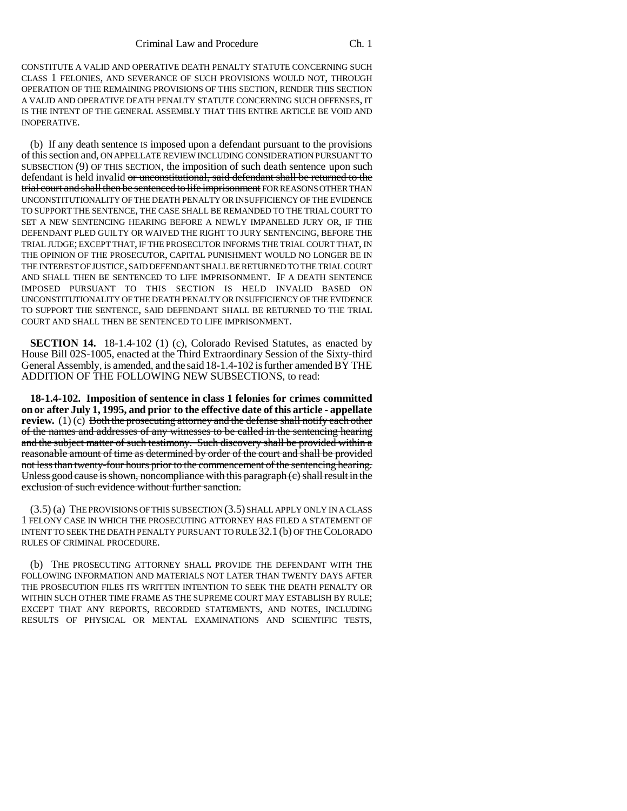CONSTITUTE A VALID AND OPERATIVE DEATH PENALTY STATUTE CONCERNING SUCH CLASS 1 FELONIES, AND SEVERANCE OF SUCH PROVISIONS WOULD NOT, THROUGH OPERATION OF THE REMAINING PROVISIONS OF THIS SECTION, RENDER THIS SECTION A VALID AND OPERATIVE DEATH PENALTY STATUTE CONCERNING SUCH OFFENSES, IT IS THE INTENT OF THE GENERAL ASSEMBLY THAT THIS ENTIRE ARTICLE BE VOID AND INOPERATIVE.

(b) If any death sentence IS imposed upon a defendant pursuant to the provisions of this section and, ON APPELLATE REVIEW INCLUDING CONSIDERATION PURSUANT TO SUBSECTION (9) OF THIS SECTION, the imposition of such death sentence upon such defendant is held invalid or unconstitutional, said defendant shall be returned to the trial court and shall then be sentenced to life imprisonment FOR REASONS OTHER THAN UNCONSTITUTIONALITY OF THE DEATH PENALTY OR INSUFFICIENCY OF THE EVIDENCE TO SUPPORT THE SENTENCE, THE CASE SHALL BE REMANDED TO THE TRIAL COURT TO SET A NEW SENTENCING HEARING BEFORE A NEWLY IMPANELED JURY OR, IF THE DEFENDANT PLED GUILTY OR WAIVED THE RIGHT TO JURY SENTENCING, BEFORE THE TRIAL JUDGE; EXCEPT THAT, IF THE PROSECUTOR INFORMS THE TRIAL COURT THAT, IN THE OPINION OF THE PROSECUTOR, CAPITAL PUNISHMENT WOULD NO LONGER BE IN THE INTEREST OF JUSTICE, SAID DEFENDANT SHALL BE RETURNED TO THE TRIAL COURT AND SHALL THEN BE SENTENCED TO LIFE IMPRISONMENT. IF A DEATH SENTENCE IMPOSED PURSUANT TO THIS SECTION IS HELD INVALID BASED ON UNCONSTITUTIONALITY OF THE DEATH PENALTY OR INSUFFICIENCY OF THE EVIDENCE TO SUPPORT THE SENTENCE, SAID DEFENDANT SHALL BE RETURNED TO THE TRIAL COURT AND SHALL THEN BE SENTENCED TO LIFE IMPRISONMENT.

**SECTION 14.** 18-1.4-102 (1) (c), Colorado Revised Statutes, as enacted by House Bill 02S-1005, enacted at the Third Extraordinary Session of the Sixty-third General Assembly, is amended, and the said 18-1.4-102 is further amended BY THE ADDITION OF THE FOLLOWING NEW SUBSECTIONS, to read:

**18-1.4-102. Imposition of sentence in class 1 felonies for crimes committed on or after July 1, 1995, and prior to the effective date of this article - appellate review.** (1) (c) Both the prosecuting attorney and the defense shall notify each other of the names and addresses of any witnesses to be called in the sentencing hearing and the subject matter of such testimony. Such discovery shall be provided within a reasonable amount of time as determined by order of the court and shall be provided not less than twenty-four hours prior to the commencement of the sentencing hearing. Unless good cause is shown, noncompliance with this paragraph (c) shall result in the exclusion of such evidence without further sanction.

(3.5) (a) THE PROVISIONS OF THIS SUBSECTION (3.5) SHALL APPLY ONLY IN A CLASS 1 FELONY CASE IN WHICH THE PROSECUTING ATTORNEY HAS FILED A STATEMENT OF INTENT TO SEEK THE DEATH PENALTY PURSUANT TO RULE 32.1 (b) OF THE COLORADO RULES OF CRIMINAL PROCEDURE.

(b) THE PROSECUTING ATTORNEY SHALL PROVIDE THE DEFENDANT WITH THE FOLLOWING INFORMATION AND MATERIALS NOT LATER THAN TWENTY DAYS AFTER THE PROSECUTION FILES ITS WRITTEN INTENTION TO SEEK THE DEATH PENALTY OR WITHIN SUCH OTHER TIME FRAME AS THE SUPREME COURT MAY ESTABLISH BY RULE; EXCEPT THAT ANY REPORTS, RECORDED STATEMENTS, AND NOTES, INCLUDING RESULTS OF PHYSICAL OR MENTAL EXAMINATIONS AND SCIENTIFIC TESTS,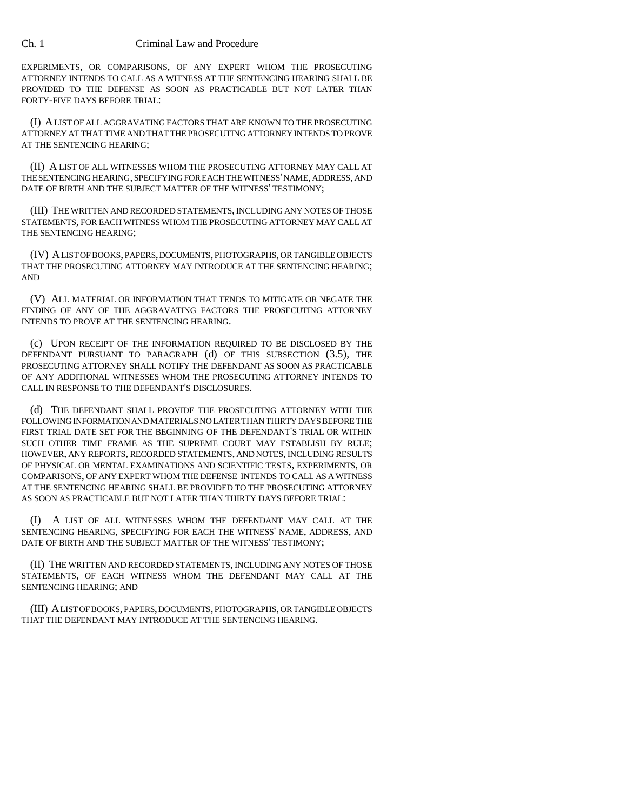EXPERIMENTS, OR COMPARISONS, OF ANY EXPERT WHOM THE PROSECUTING ATTORNEY INTENDS TO CALL AS A WITNESS AT THE SENTENCING HEARING SHALL BE PROVIDED TO THE DEFENSE AS SOON AS PRACTICABLE BUT NOT LATER THAN FORTY-FIVE DAYS BEFORE TRIAL:

(I) A LIST OF ALL AGGRAVATING FACTORS THAT ARE KNOWN TO THE PROSECUTING ATTORNEY AT THAT TIME AND THAT THE PROSECUTING ATTORNEY INTENDS TO PROVE AT THE SENTENCING HEARING;

(II) A LIST OF ALL WITNESSES WHOM THE PROSECUTING ATTORNEY MAY CALL AT THE SENTENCING HEARING, SPECIFYING FOR EACH THE WITNESS' NAME, ADDRESS, AND DATE OF BIRTH AND THE SUBJECT MATTER OF THE WITNESS' TESTIMONY;

(III) THE WRITTEN AND RECORDED STATEMENTS, INCLUDING ANY NOTES OF THOSE STATEMENTS, FOR EACH WITNESS WHOM THE PROSECUTING ATTORNEY MAY CALL AT THE SENTENCING HEARING;

(IV) A LIST OF BOOKS, PAPERS, DOCUMENTS, PHOTOGRAPHS, OR TANGIBLE OBJECTS THAT THE PROSECUTING ATTORNEY MAY INTRODUCE AT THE SENTENCING HEARING; AND

(V) ALL MATERIAL OR INFORMATION THAT TENDS TO MITIGATE OR NEGATE THE FINDING OF ANY OF THE AGGRAVATING FACTORS THE PROSECUTING ATTORNEY INTENDS TO PROVE AT THE SENTENCING HEARING.

(c) UPON RECEIPT OF THE INFORMATION REQUIRED TO BE DISCLOSED BY THE DEFENDANT PURSUANT TO PARAGRAPH (d) OF THIS SUBSECTION (3.5), THE PROSECUTING ATTORNEY SHALL NOTIFY THE DEFENDANT AS SOON AS PRACTICABLE OF ANY ADDITIONAL WITNESSES WHOM THE PROSECUTING ATTORNEY INTENDS TO CALL IN RESPONSE TO THE DEFENDANT'S DISCLOSURES.

(d) THE DEFENDANT SHALL PROVIDE THE PROSECUTING ATTORNEY WITH THE FOLLOWING INFORMATION AND MATERIALS NO LATER THAN THIRTY DAYS BEFORE THE FIRST TRIAL DATE SET FOR THE BEGINNING OF THE DEFENDANT'S TRIAL OR WITHIN SUCH OTHER TIME FRAME AS THE SUPREME COURT MAY ESTABLISH BY RULE; HOWEVER, ANY REPORTS, RECORDED STATEMENTS, AND NOTES, INCLUDING RESULTS OF PHYSICAL OR MENTAL EXAMINATIONS AND SCIENTIFIC TESTS, EXPERIMENTS, OR COMPARISONS, OF ANY EXPERT WHOM THE DEFENSE INTENDS TO CALL AS A WITNESS AT THE SENTENCING HEARING SHALL BE PROVIDED TO THE PROSECUTING ATTORNEY AS SOON AS PRACTICABLE BUT NOT LATER THAN THIRTY DAYS BEFORE TRIAL:

(I) A LIST OF ALL WITNESSES WHOM THE DEFENDANT MAY CALL AT THE SENTENCING HEARING, SPECIFYING FOR EACH THE WITNESS' NAME, ADDRESS, AND DATE OF BIRTH AND THE SUBJECT MATTER OF THE WITNESS' TESTIMONY;

(II) THE WRITTEN AND RECORDED STATEMENTS, INCLUDING ANY NOTES OF THOSE STATEMENTS, OF EACH WITNESS WHOM THE DEFENDANT MAY CALL AT THE SENTENCING HEARING; AND

(III) A LIST OF BOOKS, PAPERS, DOCUMENTS, PHOTOGRAPHS, OR TANGIBLE OBJECTS THAT THE DEFENDANT MAY INTRODUCE AT THE SENTENCING HEARING.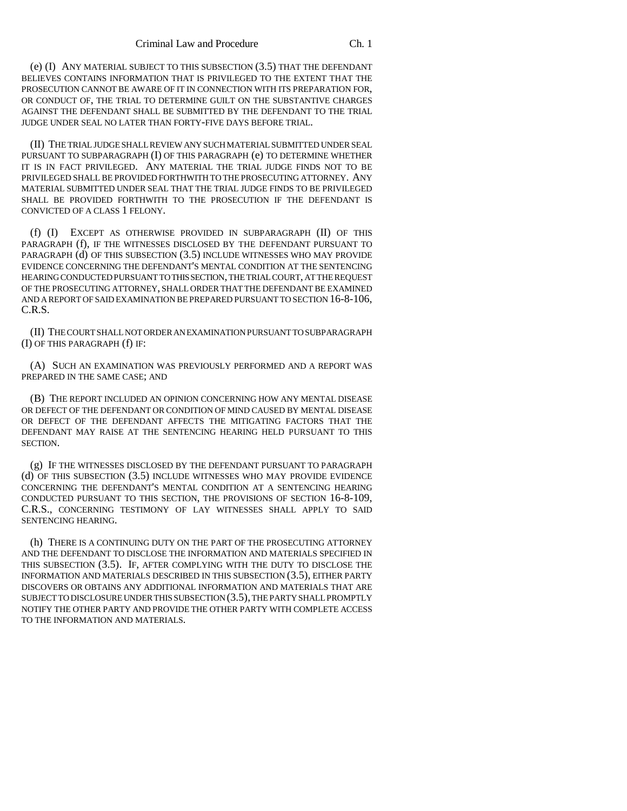(e) (I) ANY MATERIAL SUBJECT TO THIS SUBSECTION (3.5) THAT THE DEFENDANT BELIEVES CONTAINS INFORMATION THAT IS PRIVILEGED TO THE EXTENT THAT THE PROSECUTION CANNOT BE AWARE OF IT IN CONNECTION WITH ITS PREPARATION FOR, OR CONDUCT OF, THE TRIAL TO DETERMINE GUILT ON THE SUBSTANTIVE CHARGES AGAINST THE DEFENDANT SHALL BE SUBMITTED BY THE DEFENDANT TO THE TRIAL JUDGE UNDER SEAL NO LATER THAN FORTY-FIVE DAYS BEFORE TRIAL.

(II) THE TRIAL JUDGE SHALL REVIEW ANY SUCH MATERIAL SUBMITTED UNDER SEAL PURSUANT TO SUBPARAGRAPH (I) OF THIS PARAGRAPH (e) TO DETERMINE WHETHER IT IS IN FACT PRIVILEGED. ANY MATERIAL THE TRIAL JUDGE FINDS NOT TO BE PRIVILEGED SHALL BE PROVIDED FORTHWITH TO THE PROSECUTING ATTORNEY. ANY MATERIAL SUBMITTED UNDER SEAL THAT THE TRIAL JUDGE FINDS TO BE PRIVILEGED SHALL BE PROVIDED FORTHWITH TO THE PROSECUTION IF THE DEFENDANT IS CONVICTED OF A CLASS 1 FELONY.

(f) (I) EXCEPT AS OTHERWISE PROVIDED IN SUBPARAGRAPH (II) OF THIS PARAGRAPH (f), IF THE WITNESSES DISCLOSED BY THE DEFENDANT PURSUANT TO PARAGRAPH (d) OF THIS SUBSECTION (3.5) INCLUDE WITNESSES WHO MAY PROVIDE EVIDENCE CONCERNING THE DEFENDANT'S MENTAL CONDITION AT THE SENTENCING HEARING CONDUCTED PURSUANT TO THIS SECTION, THE TRIAL COURT, AT THE REQUEST OF THE PROSECUTING ATTORNEY, SHALL ORDER THAT THE DEFENDANT BE EXAMINED AND A REPORT OF SAID EXAMINATION BE PREPARED PURSUANT TO SECTION 16-8-106, C.R.S.

(II) THE COURT SHALL NOT ORDER AN EXAMINATION PURSUANT TO SUBPARAGRAPH (I) OF THIS PARAGRAPH (f) IF:

(A) SUCH AN EXAMINATION WAS PREVIOUSLY PERFORMED AND A REPORT WAS PREPARED IN THE SAME CASE; AND

(B) THE REPORT INCLUDED AN OPINION CONCERNING HOW ANY MENTAL DISEASE OR DEFECT OF THE DEFENDANT OR CONDITION OF MIND CAUSED BY MENTAL DISEASE OR DEFECT OF THE DEFENDANT AFFECTS THE MITIGATING FACTORS THAT THE DEFENDANT MAY RAISE AT THE SENTENCING HEARING HELD PURSUANT TO THIS SECTION.

(g) IF THE WITNESSES DISCLOSED BY THE DEFENDANT PURSUANT TO PARAGRAPH (d) OF THIS SUBSECTION (3.5) INCLUDE WITNESSES WHO MAY PROVIDE EVIDENCE CONCERNING THE DEFENDANT'S MENTAL CONDITION AT A SENTENCING HEARING CONDUCTED PURSUANT TO THIS SECTION, THE PROVISIONS OF SECTION 16-8-109, C.R.S., CONCERNING TESTIMONY OF LAY WITNESSES SHALL APPLY TO SAID SENTENCING HEARING.

(h) THERE IS A CONTINUING DUTY ON THE PART OF THE PROSECUTING ATTORNEY AND THE DEFENDANT TO DISCLOSE THE INFORMATION AND MATERIALS SPECIFIED IN THIS SUBSECTION (3.5). IF, AFTER COMPLYING WITH THE DUTY TO DISCLOSE THE INFORMATION AND MATERIALS DESCRIBED IN THIS SUBSECTION (3.5), EITHER PARTY DISCOVERS OR OBTAINS ANY ADDITIONAL INFORMATION AND MATERIALS THAT ARE SUBJECT TO DISCLOSURE UNDER THIS SUBSECTION (3.5), THE PARTY SHALL PROMPTLY NOTIFY THE OTHER PARTY AND PROVIDE THE OTHER PARTY WITH COMPLETE ACCESS TO THE INFORMATION AND MATERIALS.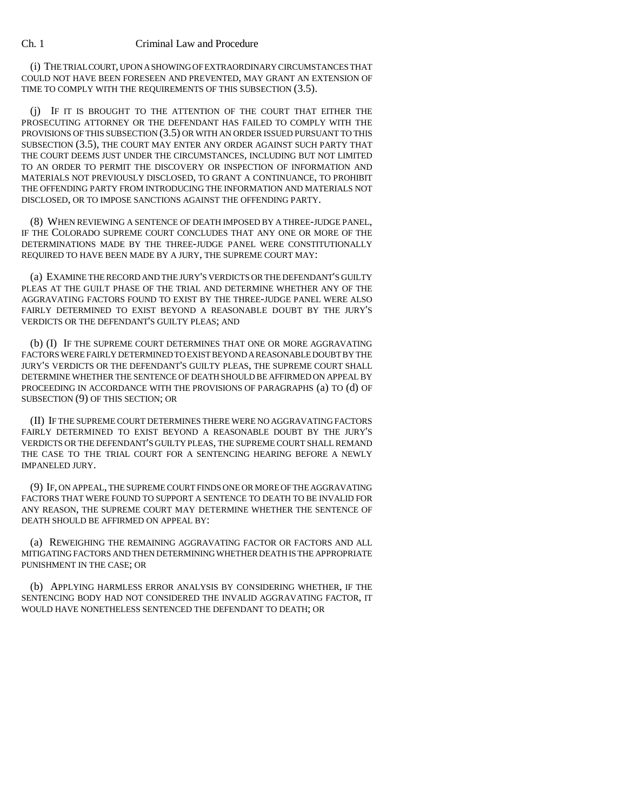(i) THE TRIAL COURT, UPON A SHOWING OF EXTRAORDINARY CIRCUMSTANCES THAT COULD NOT HAVE BEEN FORESEEN AND PREVENTED, MAY GRANT AN EXTENSION OF TIME TO COMPLY WITH THE REQUIREMENTS OF THIS SUBSECTION (3.5).

(j) IF IT IS BROUGHT TO THE ATTENTION OF THE COURT THAT EITHER THE PROSECUTING ATTORNEY OR THE DEFENDANT HAS FAILED TO COMPLY WITH THE PROVISIONS OF THIS SUBSECTION (3.5) OR WITH AN ORDER ISSUED PURSUANT TO THIS SUBSECTION (3.5), THE COURT MAY ENTER ANY ORDER AGAINST SUCH PARTY THAT THE COURT DEEMS JUST UNDER THE CIRCUMSTANCES, INCLUDING BUT NOT LIMITED TO AN ORDER TO PERMIT THE DISCOVERY OR INSPECTION OF INFORMATION AND MATERIALS NOT PREVIOUSLY DISCLOSED, TO GRANT A CONTINUANCE, TO PROHIBIT THE OFFENDING PARTY FROM INTRODUCING THE INFORMATION AND MATERIALS NOT DISCLOSED, OR TO IMPOSE SANCTIONS AGAINST THE OFFENDING PARTY.

(8) WHEN REVIEWING A SENTENCE OF DEATH IMPOSED BY A THREE-JUDGE PANEL, IF THE COLORADO SUPREME COURT CONCLUDES THAT ANY ONE OR MORE OF THE DETERMINATIONS MADE BY THE THREE-JUDGE PANEL WERE CONSTITUTIONALLY REQUIRED TO HAVE BEEN MADE BY A JURY, THE SUPREME COURT MAY:

(a) EXAMINE THE RECORD AND THE JURY'S VERDICTS OR THE DEFENDANT'S GUILTY PLEAS AT THE GUILT PHASE OF THE TRIAL AND DETERMINE WHETHER ANY OF THE AGGRAVATING FACTORS FOUND TO EXIST BY THE THREE-JUDGE PANEL WERE ALSO FAIRLY DETERMINED TO EXIST BEYOND A REASONABLE DOUBT BY THE JURY'S VERDICTS OR THE DEFENDANT'S GUILTY PLEAS; AND

(b) (I) IF THE SUPREME COURT DETERMINES THAT ONE OR MORE AGGRAVATING FACTORS WERE FAIRLY DETERMINED TO EXIST BEYOND A REASONABLE DOUBT BY THE JURY'S VERDICTS OR THE DEFENDANT'S GUILTY PLEAS, THE SUPREME COURT SHALL DETERMINE WHETHER THE SENTENCE OF DEATH SHOULD BE AFFIRMED ON APPEAL BY PROCEEDING IN ACCORDANCE WITH THE PROVISIONS OF PARAGRAPHS (a) TO (d) OF SUBSECTION (9) OF THIS SECTION; OR

(II) IF THE SUPREME COURT DETERMINES THERE WERE NO AGGRAVATING FACTORS FAIRLY DETERMINED TO EXIST BEYOND A REASONABLE DOUBT BY THE JURY'S VERDICTS OR THE DEFENDANT'S GUILTY PLEAS, THE SUPREME COURT SHALL REMAND THE CASE TO THE TRIAL COURT FOR A SENTENCING HEARING BEFORE A NEWLY IMPANELED JURY.

(9) IF, ON APPEAL, THE SUPREME COURT FINDS ONE OR MORE OF THE AGGRAVATING FACTORS THAT WERE FOUND TO SUPPORT A SENTENCE TO DEATH TO BE INVALID FOR ANY REASON, THE SUPREME COURT MAY DETERMINE WHETHER THE SENTENCE OF DEATH SHOULD BE AFFIRMED ON APPEAL BY:

(a) REWEIGHING THE REMAINING AGGRAVATING FACTOR OR FACTORS AND ALL MITIGATING FACTORS AND THEN DETERMINING WHETHER DEATH IS THE APPROPRIATE PUNISHMENT IN THE CASE; OR

(b) APPLYING HARMLESS ERROR ANALYSIS BY CONSIDERING WHETHER, IF THE SENTENCING BODY HAD NOT CONSIDERED THE INVALID AGGRAVATING FACTOR, IT WOULD HAVE NONETHELESS SENTENCED THE DEFENDANT TO DEATH; OR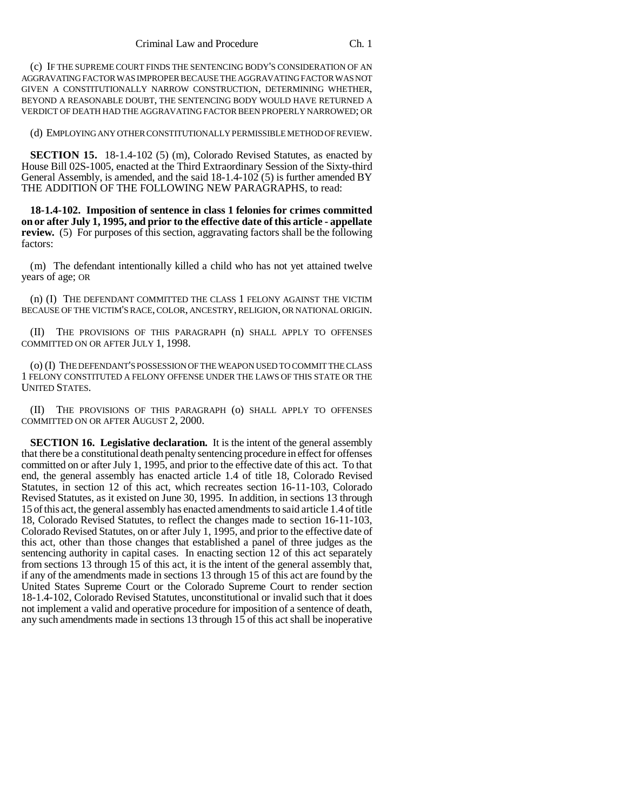(c) IF THE SUPREME COURT FINDS THE SENTENCING BODY'S CONSIDERATION OF AN AGGRAVATING FACTOR WAS IMPROPER BECAUSE THE AGGRAVATING FACTOR WAS NOT GIVEN A CONSTITUTIONALLY NARROW CONSTRUCTION, DETERMINING WHETHER, BEYOND A REASONABLE DOUBT, THE SENTENCING BODY WOULD HAVE RETURNED A VERDICT OF DEATH HAD THE AGGRAVATING FACTOR BEEN PROPERLY NARROWED; OR

(d) EMPLOYING ANY OTHER CONSTITUTIONALLY PERMISSIBLE METHOD OF REVIEW.

**SECTION 15.** 18-1.4-102 (5) (m), Colorado Revised Statutes, as enacted by House Bill 02S-1005, enacted at the Third Extraordinary Session of the Sixty-third General Assembly, is amended, and the said 18-1.4-102 (5) is further amended BY THE ADDITION OF THE FOLLOWING NEW PARAGRAPHS, to read:

**18-1.4-102. Imposition of sentence in class 1 felonies for crimes committed on or after July 1, 1995, and prior to the effective date of this article - appellate review.** (5) For purposes of this section, aggravating factors shall be the following factors:

(m) The defendant intentionally killed a child who has not yet attained twelve years of age; OR

(n) (I) THE DEFENDANT COMMITTED THE CLASS 1 FELONY AGAINST THE VICTIM BECAUSE OF THE VICTIM'S RACE, COLOR, ANCESTRY, RELIGION, OR NATIONAL ORIGIN.

(II) THE PROVISIONS OF THIS PARAGRAPH (n) SHALL APPLY TO OFFENSES COMMITTED ON OR AFTER JULY 1, 1998.

(o) (I) THE DEFENDANT'S POSSESSION OF THE WEAPON USED TO COMMIT THE CLASS 1 FELONY CONSTITUTED A FELONY OFFENSE UNDER THE LAWS OF THIS STATE OR THE UNITED STATES.

(II) THE PROVISIONS OF THIS PARAGRAPH (o) SHALL APPLY TO OFFENSES COMMITTED ON OR AFTER AUGUST 2, 2000.

**SECTION 16. Legislative declaration.** It is the intent of the general assembly that there be a constitutional death penalty sentencing procedure in effect for offenses committed on or after July 1, 1995, and prior to the effective date of this act. To that end, the general assembly has enacted article 1.4 of title 18, Colorado Revised Statutes, in section 12 of this act, which recreates section 16-11-103, Colorado Revised Statutes, as it existed on June 30, 1995. In addition, in sections 13 through 15 of this act, the general assembly has enacted amendments to said article 1.4 of title 18, Colorado Revised Statutes, to reflect the changes made to section 16-11-103, Colorado Revised Statutes, on or after July 1, 1995, and prior to the effective date of this act, other than those changes that established a panel of three judges as the sentencing authority in capital cases. In enacting section 12 of this act separately from sections 13 through 15 of this act, it is the intent of the general assembly that, if any of the amendments made in sections 13 through 15 of this act are found by the United States Supreme Court or the Colorado Supreme Court to render section 18-1.4-102, Colorado Revised Statutes, unconstitutional or invalid such that it does not implement a valid and operative procedure for imposition of a sentence of death, any such amendments made in sections 13 through 15 of this act shall be inoperative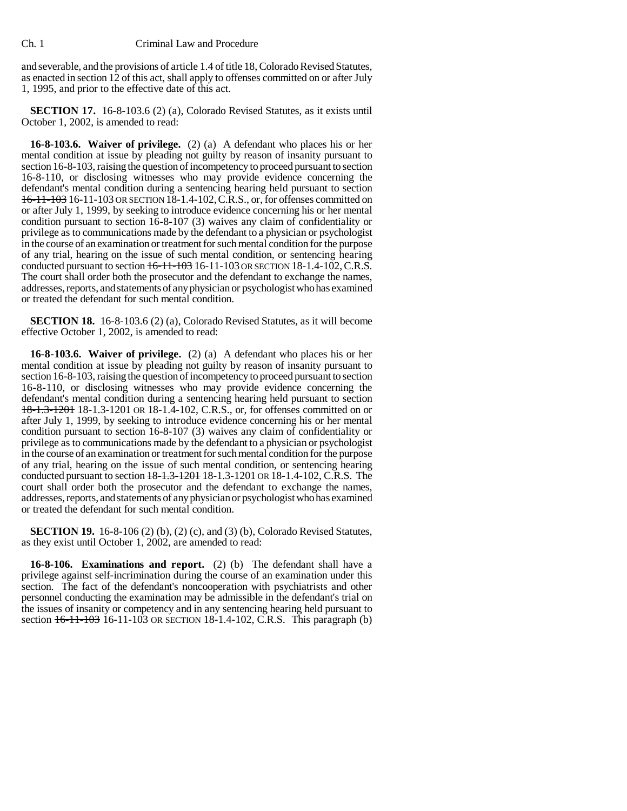and severable, and the provisions of article 1.4 of title 18, Colorado Revised Statutes, as enacted in section 12 of this act, shall apply to offenses committed on or after July 1, 1995, and prior to the effective date of this act.

**SECTION 17.** 16-8-103.6 (2) (a), Colorado Revised Statutes, as it exists until October 1, 2002, is amended to read:

**16-8-103.6. Waiver of privilege.** (2) (a) A defendant who places his or her mental condition at issue by pleading not guilty by reason of insanity pursuant to section 16-8-103, raising the question of incompetency to proceed pursuant to section 16-8-110, or disclosing witnesses who may provide evidence concerning the defendant's mental condition during a sentencing hearing held pursuant to section 16-11-103 16-11-103 OR SECTION 18-1.4-102,C.R.S., or, for offenses committed on or after July 1, 1999, by seeking to introduce evidence concerning his or her mental condition pursuant to section 16-8-107 (3) waives any claim of confidentiality or privilege as to communications made by the defendant to a physician or psychologist in the course of an examination or treatment for such mental condition for the purpose of any trial, hearing on the issue of such mental condition, or sentencing hearing conducted pursuant to section  $16-11-103$  If  $-11-103$  OR SECTION 18-1.4-102, C.R.S. The court shall order both the prosecutor and the defendant to exchange the names, addresses, reports, and statements of any physician or psychologist who has examined or treated the defendant for such mental condition.

**SECTION 18.** 16-8-103.6 (2) (a), Colorado Revised Statutes, as it will become effective October 1, 2002, is amended to read:

**16-8-103.6. Waiver of privilege.** (2) (a) A defendant who places his or her mental condition at issue by pleading not guilty by reason of insanity pursuant to section 16-8-103, raising the question of incompetency to proceed pursuant to section 16-8-110, or disclosing witnesses who may provide evidence concerning the defendant's mental condition during a sentencing hearing held pursuant to section 18-1.3-1201 18-1.3-1201 OR 18-1.4-102, C.R.S., or, for offenses committed on or after July 1, 1999, by seeking to introduce evidence concerning his or her mental condition pursuant to section 16-8-107 (3) waives any claim of confidentiality or privilege as to communications made by the defendant to a physician or psychologist in the course of an examination or treatment for such mental condition for the purpose of any trial, hearing on the issue of such mental condition, or sentencing hearing conducted pursuant to section 18-1.3-1201 18-1.3-1201 OR 18-1.4-102, C.R.S. The court shall order both the prosecutor and the defendant to exchange the names, addresses, reports, and statements of any physician or psychologist who has examined or treated the defendant for such mental condition.

**SECTION 19.** 16-8-106 (2) (b), (2) (c), and (3) (b), Colorado Revised Statutes, as they exist until October 1, 2002, are amended to read:

**16-8-106. Examinations and report.** (2) (b) The defendant shall have a privilege against self-incrimination during the course of an examination under this section. The fact of the defendant's noncooperation with psychiatrists and other personnel conducting the examination may be admissible in the defendant's trial on the issues of insanity or competency and in any sentencing hearing held pursuant to section  $16-11-103$  16-11-103 OR SECTION 18-1.4-102, C.R.S. This paragraph (b)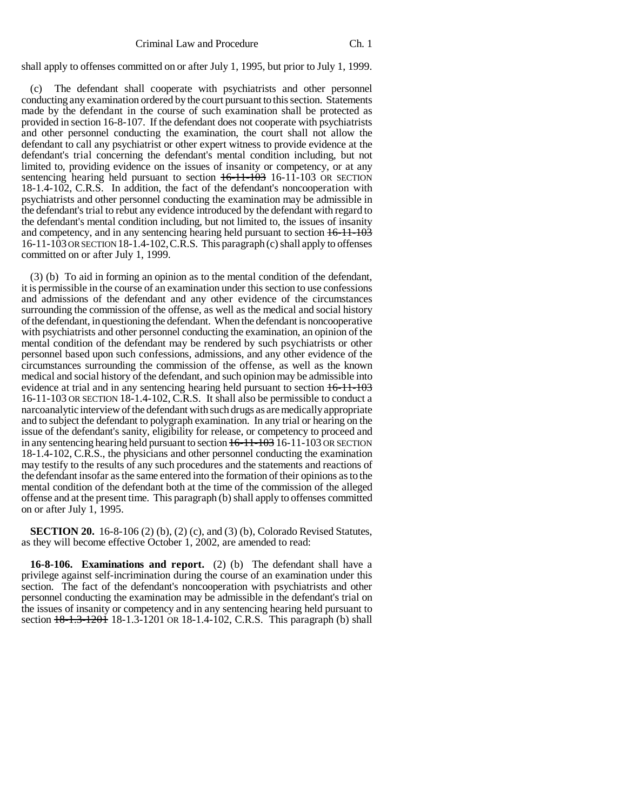shall apply to offenses committed on or after July 1, 1995, but prior to July 1, 1999.

(c) The defendant shall cooperate with psychiatrists and other personnel conducting any examination ordered by the court pursuant to this section. Statements made by the defendant in the course of such examination shall be protected as provided in section 16-8-107. If the defendant does not cooperate with psychiatrists and other personnel conducting the examination, the court shall not allow the defendant to call any psychiatrist or other expert witness to provide evidence at the defendant's trial concerning the defendant's mental condition including, but not limited to, providing evidence on the issues of insanity or competency, or at any sentencing hearing held pursuant to section  $16-11-103$  OR SECTION 18-1.4-102, C.R.S. In addition, the fact of the defendant's noncooperation with psychiatrists and other personnel conducting the examination may be admissible in the defendant's trial to rebut any evidence introduced by the defendant with regard to the defendant's mental condition including, but not limited to, the issues of insanity and competency, and in any sentencing hearing held pursuant to section 16-11-103 16-11-103 OR SECTION 18-1.4-102,C.R.S. This paragraph (c) shall apply to offenses committed on or after July 1, 1999.

(3) (b) To aid in forming an opinion as to the mental condition of the defendant, it is permissible in the course of an examination under this section to use confessions and admissions of the defendant and any other evidence of the circumstances surrounding the commission of the offense, as well as the medical and social history of the defendant, in questioning the defendant. When the defendant is noncooperative with psychiatrists and other personnel conducting the examination, an opinion of the mental condition of the defendant may be rendered by such psychiatrists or other personnel based upon such confessions, admissions, and any other evidence of the circumstances surrounding the commission of the offense, as well as the known medical and social history of the defendant, and such opinion may be admissible into evidence at trial and in any sentencing hearing held pursuant to section 16-11-103 16-11-103 OR SECTION 18-1.4-102, C.R.S. It shall also be permissible to conduct a narcoanalytic interview of the defendant with such drugs as are medically appropriate and to subject the defendant to polygraph examination. In any trial or hearing on the issue of the defendant's sanity, eligibility for release, or competency to proceed and in any sentencing hearing held pursuant to section  $16-11-103$  16-11-103 OR SECTION 18-1.4-102, C.R.S., the physicians and other personnel conducting the examination may testify to the results of any such procedures and the statements and reactions of the defendant insofar as the same entered into the formation of their opinions as to the mental condition of the defendant both at the time of the commission of the alleged offense and at the present time. This paragraph (b) shall apply to offenses committed on or after July 1, 1995.

**SECTION 20.** 16-8-106 (2) (b), (2) (c), and (3) (b), Colorado Revised Statutes, as they will become effective October 1, 2002, are amended to read:

**16-8-106. Examinations and report.** (2) (b) The defendant shall have a privilege against self-incrimination during the course of an examination under this section. The fact of the defendant's noncooperation with psychiatrists and other personnel conducting the examination may be admissible in the defendant's trial on the issues of insanity or competency and in any sentencing hearing held pursuant to section  $18-1.3-1201$  18-1.3-1201 OR 18-1.4-102, C.R.S. This paragraph (b) shall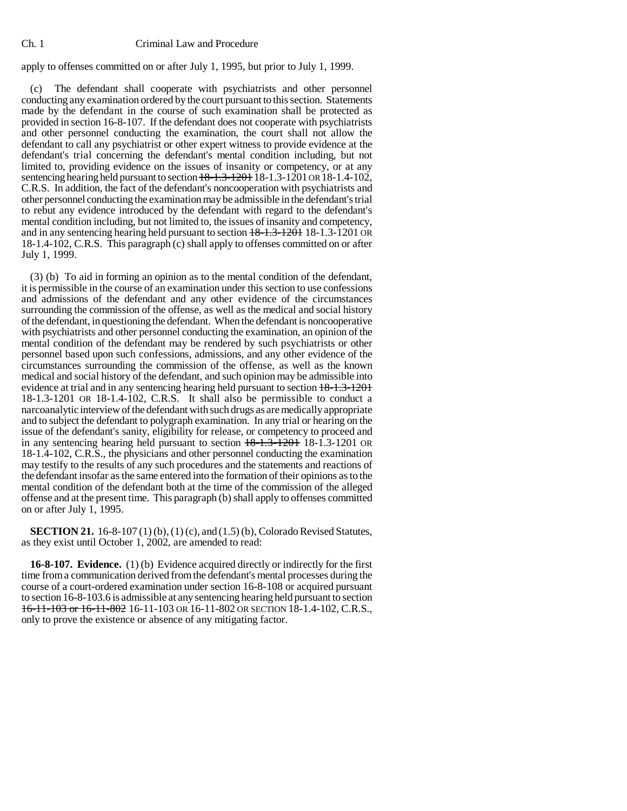## apply to offenses committed on or after July 1, 1995, but prior to July 1, 1999.

(c) The defendant shall cooperate with psychiatrists and other personnel conducting any examination ordered by the court pursuant to this section. Statements made by the defendant in the course of such examination shall be protected as provided in section 16-8-107. If the defendant does not cooperate with psychiatrists and other personnel conducting the examination, the court shall not allow the defendant to call any psychiatrist or other expert witness to provide evidence at the defendant's trial concerning the defendant's mental condition including, but not limited to, providing evidence on the issues of insanity or competency, or at any sentencing hearing held pursuant to section  $18-1.3-1201$  18-1.3-1201 OR 18-1.4-102, C.R.S. In addition, the fact of the defendant's noncooperation with psychiatrists and other personnel conducting the examination may be admissible in the defendant's trial to rebut any evidence introduced by the defendant with regard to the defendant's mental condition including, but not limited to, the issues of insanity and competency, and in any sentencing hearing held pursuant to section  $18-1.3-1201$  18-1.3-1201 OR 18-1.4-102, C.R.S. This paragraph (c) shall apply to offenses committed on or after July 1, 1999.

(3) (b) To aid in forming an opinion as to the mental condition of the defendant, it is permissible in the course of an examination under this section to use confessions and admissions of the defendant and any other evidence of the circumstances surrounding the commission of the offense, as well as the medical and social history of the defendant, in questioning the defendant. When the defendant is noncooperative with psychiatrists and other personnel conducting the examination, an opinion of the mental condition of the defendant may be rendered by such psychiatrists or other personnel based upon such confessions, admissions, and any other evidence of the circumstances surrounding the commission of the offense, as well as the known medical and social history of the defendant, and such opinion may be admissible into evidence at trial and in any sentencing hearing held pursuant to section 18-1.3-1201 18-1.3-1201 OR 18-1.4-102, C.R.S. It shall also be permissible to conduct a narcoanalytic interview of the defendant with such drugs as are medically appropriate and to subject the defendant to polygraph examination. In any trial or hearing on the issue of the defendant's sanity, eligibility for release, or competency to proceed and in any sentencing hearing held pursuant to section  $18-1.3-1201$  OR 18-1.4-102, C.R.S., the physicians and other personnel conducting the examination may testify to the results of any such procedures and the statements and reactions of the defendant insofar as the same entered into the formation of their opinions as to the mental condition of the defendant both at the time of the commission of the alleged offense and at the present time. This paragraph (b) shall apply to offenses committed on or after July 1, 1995.

**SECTION 21.** 16-8-107 (1) (b), (1) (c), and (1.5) (b), Colorado Revised Statutes, as they exist until October 1, 2002, are amended to read:

**16-8-107. Evidence.** (1) (b) Evidence acquired directly or indirectly for the first time from a communication derived from the defendant's mental processes during the course of a court-ordered examination under section 16-8-108 or acquired pursuant to section 16-8-103.6 is admissible at any sentencing hearing held pursuant to section 16-11-103 or 16-11-802 16-11-103 OR 16-11-802 OR SECTION 18-1.4-102, C.R.S., only to prove the existence or absence of any mitigating factor.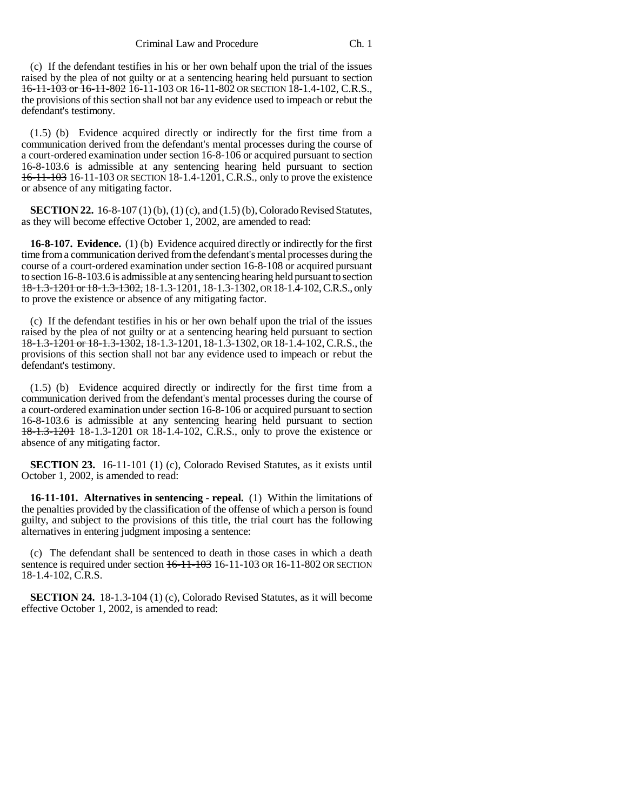(c) If the defendant testifies in his or her own behalf upon the trial of the issues raised by the plea of not guilty or at a sentencing hearing held pursuant to section 16-11-103 or 16-11-802 16-11-103 OR 16-11-802 OR SECTION 18-1.4-102, C.R.S., the provisions of this section shall not bar any evidence used to impeach or rebut the defendant's testimony.

(1.5) (b) Evidence acquired directly or indirectly for the first time from a communication derived from the defendant's mental processes during the course of a court-ordered examination under section 16-8-106 or acquired pursuant to section 16-8-103.6 is admissible at any sentencing hearing held pursuant to section 16-11-103 16-11-103 OR SECTION 18-1.4-1201, C.R.S., only to prove the existence or absence of any mitigating factor.

**SECTION 22.** 16-8-107 (1) (b), (1) (c), and (1.5) (b), Colorado Revised Statutes, as they will become effective October 1, 2002, are amended to read:

**16-8-107. Evidence.** (1) (b) Evidence acquired directly or indirectly for the first time from a communication derived from the defendant's mental processes during the course of a court-ordered examination under section 16-8-108 or acquired pursuant to section 16-8-103.6 is admissible at any sentencing hearing held pursuant to section 18-1.3-1201 or 18-1.3-1302, 18-1.3-1201, 18-1.3-1302, OR 18-1.4-102, C.R.S., only to prove the existence or absence of any mitigating factor.

(c) If the defendant testifies in his or her own behalf upon the trial of the issues raised by the plea of not guilty or at a sentencing hearing held pursuant to section 18-1.3-1201 or 18-1.3-1302, 18-1.3-1201, 18-1.3-1302, OR 18-1.4-102, C.R.S., the provisions of this section shall not bar any evidence used to impeach or rebut the defendant's testimony.

(1.5) (b) Evidence acquired directly or indirectly for the first time from a communication derived from the defendant's mental processes during the course of a court-ordered examination under section 16-8-106 or acquired pursuant to section 16-8-103.6 is admissible at any sentencing hearing held pursuant to section 18-1.3-1201 18-1.3-1201 OR 18-1.4-102, C.R.S., only to prove the existence or absence of any mitigating factor.

**SECTION 23.** 16-11-101 (1) (c), Colorado Revised Statutes, as it exists until October 1, 2002, is amended to read:

**16-11-101. Alternatives in sentencing - repeal.** (1) Within the limitations of the penalties provided by the classification of the offense of which a person is found guilty, and subject to the provisions of this title, the trial court has the following alternatives in entering judgment imposing a sentence:

(c) The defendant shall be sentenced to death in those cases in which a death sentence is required under section  $16-11-103$  OR  $16-11-802$  OR SECTION 18-1.4-102, C.R.S.

**SECTION 24.** 18-1.3-104 (1) (c), Colorado Revised Statutes, as it will become effective October 1, 2002, is amended to read: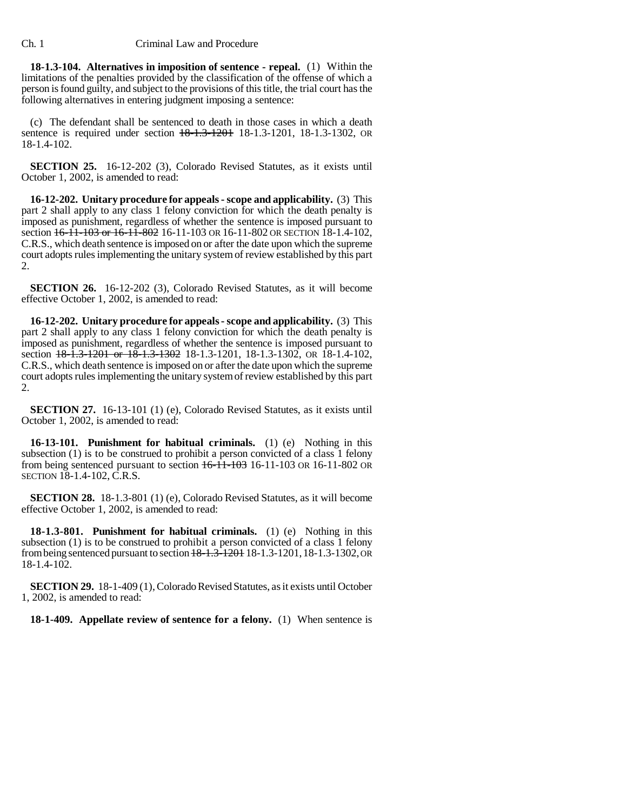**18-1.3-104. Alternatives in imposition of sentence - repeal.** (1) Within the limitations of the penalties provided by the classification of the offense of which a person is found guilty, and subject to the provisions of this title, the trial court has the following alternatives in entering judgment imposing a sentence:

(c) The defendant shall be sentenced to death in those cases in which a death sentence is required under section  $18-1.3-1201$ , 18-1.3-1302, OR 18-1.4-102.

**SECTION 25.** 16-12-202 (3), Colorado Revised Statutes, as it exists until October 1, 2002, is amended to read:

**16-12-202. Unitary procedure for appeals - scope and applicability.** (3) This part 2 shall apply to any class 1 felony conviction for which the death penalty is imposed as punishment, regardless of whether the sentence is imposed pursuant to section  $16-11-103$  or  $16-11-802$  16-11-103 OR 16-11-802 OR SECTION 18-1.4-102, C.R.S., which death sentence is imposed on or after the date upon which the supreme court adopts rules implementing the unitary system of review established by this part 2.

**SECTION 26.** 16-12-202 (3), Colorado Revised Statutes, as it will become effective October 1, 2002, is amended to read:

**16-12-202. Unitary procedure for appeals - scope and applicability.** (3) This part 2 shall apply to any class 1 felony conviction for which the death penalty is imposed as punishment, regardless of whether the sentence is imposed pursuant to section  $18-\overline{1}.\overline{3}-1201$  or  $18-\overline{1}.\overline{3}-1302$  18-1.3-1201, 18-1.3-1302, OR 18-1.4-102, C.R.S., which death sentence is imposed on or after the date upon which the supreme court adopts rules implementing the unitary system of review established by this part 2.

**SECTION 27.** 16-13-101 (1) (e), Colorado Revised Statutes, as it exists until October 1, 2002, is amended to read:

**16-13-101. Punishment for habitual criminals.** (1) (e) Nothing in this subsection (1) is to be construed to prohibit a person convicted of a class 1 felony from being sentenced pursuant to section  $\frac{++1}{++0.3}$  16-11-103 OR 16-11-802 OR SECTION 18-1.4-102, C.R.S.

**SECTION 28.** 18-1.3-801 (1) (e), Colorado Revised Statutes, as it will become effective October 1, 2002, is amended to read:

**18-1.3-801. Punishment for habitual criminals.** (1) (e) Nothing in this subsection (1) is to be construed to prohibit a person convicted of a class 1 felony from being sentenced pursuant to section 18-1.3-1201 18-1.3-1201,18-1.3-1302, OR 18-1.4-102.

**SECTION 29.** 18-1-409 (1), Colorado Revised Statutes, as it exists until October 1, 2002, is amended to read:

**18-1-409. Appellate review of sentence for a felony.** (1) When sentence is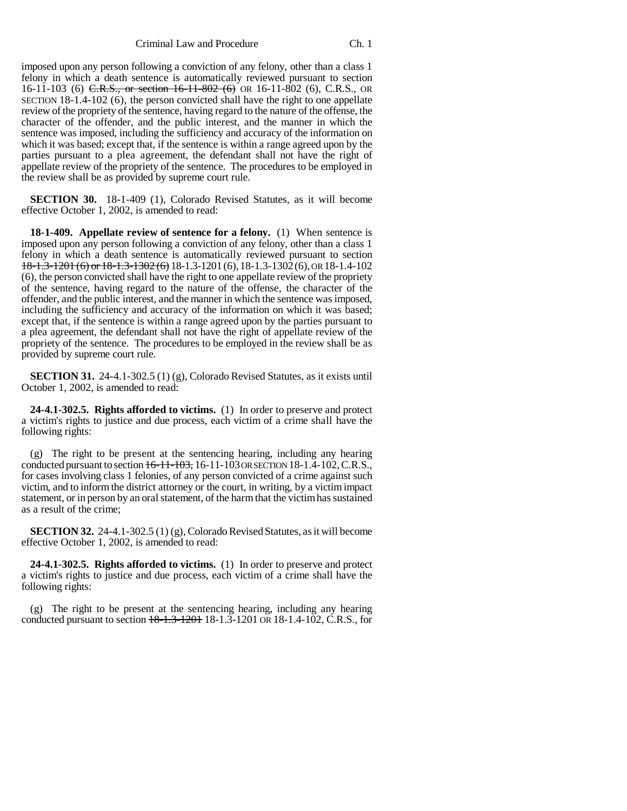Criminal Law and Procedure Ch. 1

imposed upon any person following a conviction of any felony, other than a class 1 felony in which a death sentence is automatically reviewed pursuant to section 16-11-103 (6) C.R.S., or section 16-11-802 (6) OR 16-11-802 (6), C.R.S., OR SECTION 18-1.4-102 (6), the person convicted shall have the right to one appellate review of the propriety of the sentence, having regard to the nature of the offense, the character of the offender, and the public interest, and the manner in which the sentence was imposed, including the sufficiency and accuracy of the information on which it was based; except that, if the sentence is within a range agreed upon by the parties pursuant to a plea agreement, the defendant shall not have the right of appellate review of the propriety of the sentence. The procedures to be employed in the review shall be as provided by supreme court rule.

**SECTION 30.** 18-1-409 (1), Colorado Revised Statutes, as it will become effective October 1, 2002, is amended to read:

**18-1-409. Appellate review of sentence for a felony.** (1) When sentence is imposed upon any person following a conviction of any felony, other than a class 1 felony in which a death sentence is automatically reviewed pursuant to section  $18-1.3-1201(6)$  or  $18-1.3-1302(6)$  18-1.3-1201(6), 18-1.3-1302(6), OR 18-1.4-102 (6), the person convicted shall have the right to one appellate review of the propriety of the sentence, having regard to the nature of the offense, the character of the offender, and the public interest, and the manner in which the sentence was imposed, including the sufficiency and accuracy of the information on which it was based; except that, if the sentence is within a range agreed upon by the parties pursuant to a plea agreement, the defendant shall not have the right of appellate review of the propriety of the sentence. The procedures to be employed in the review shall be as provided by supreme court rule.

**SECTION 31.** 24-4.1-302.5 (1) (g), Colorado Revised Statutes, as it exists until October 1, 2002, is amended to read:

**24-4.1-302.5. Rights afforded to victims.** (1) In order to preserve and protect a victim's rights to justice and due process, each victim of a crime shall have the following rights:

(g) The right to be present at the sentencing hearing, including any hearing conducted pursuant to section  $16-11-103$ , 16-11-103 OR SECTION 18-1.4-102, C.R.S., for cases involving class 1 felonies, of any person convicted of a crime against such victim, and to inform the district attorney or the court, in writing, by a victim impact statement, or in person by an oral statement, of the harm that the victim has sustained as a result of the crime;

**SECTION 32.** 24-4.1-302.5 (1) (g), Colorado Revised Statutes, as it will become effective October 1, 2002, is amended to read:

**24-4.1-302.5. Rights afforded to victims.** (1) In order to preserve and protect a victim's rights to justice and due process, each victim of a crime shall have the following rights:

(g) The right to be present at the sentencing hearing, including any hearing conducted pursuant to section  $18-1.3-1201$  18-1.3-1201 OR 18-1.4-102, C.R.S., for